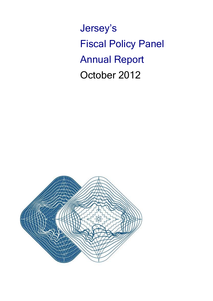Jersey's Fiscal Policy Panel Annual Report October 2012

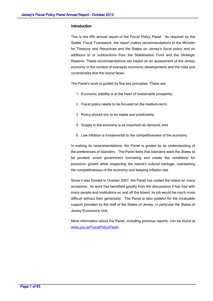#### **Introduction**

This is the fifth annual report of the Fiscal Policy Panel. As required by the States' Fiscal Framework, the report makes recommendations to the Minister for Treasury and Resources and the States on Jersey's fiscal policy and on additions to or subtractions from the Stabilisation Fund and the Strategic Reserve. These recommendations are based on an assessment of the Jersey economy in the context of overseas economic developments and the risks and uncertainties that the Island faces.

The Panel's work is guided by five key principles. These are:

- 1. Economic stability is at the heart of sustainable prosperity;
- 2. Fiscal policy needs to be focused on the medium-term;
- 3. Policy should aim to be stable and predictable;
- 4. Supply in the economy is as important as demand; and
- 5. Low inflation is fundamental to the competitiveness of the economy.

In making its recommendations, the Panel is guided by its understanding of the preferences of Islanders. The Panel feels that Islanders want the States to be prudent, avoid government borrowing and create the conditions for economic growth while respecting the Island's cultural heritage, maintaining the competitiveness of the economy and keeping inflation low.

Since it was formed in October 2007, the Panel has visited the Island on many occasions. Its work has benefited greatly from the discussions it has had with many people and institutions on and off the Island: its job would be much more difficult without their generosity. The Panel is also grateful for the invaluable support provided by the staff of the States of Jersey, in particular the States of Jersey Economics Unit.

More information about the Panel, including previous reports, can be found at [www.gov.je/FiscalPolicyPanel.](http://www.gov.je/FiscalPolicyPanel)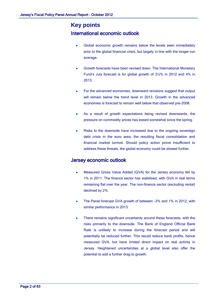# **Key points** International economic outlook

- Global economic growth remains below the levels seen immediately prior to the global financial crisis, but largely in line with the longer-run average.
- Growth forecasts have been revised down. The International Monetary Fund's July forecast is for global growth of 3½% in 2012 and 4% in 2013.
- For the advanced economies, downward revisions suggest that output will remain below the trend level in 2013. Growth in the advanced economies is forecast to remain well below that observed pre-2008.
- As a result of growth expectations being revised downwards, the pressure on commodity prices has eased somewhat since the spring.
- Risks to the downside have increased due to the ongoing sovereign debt crisis in the euro area, the resulting fiscal consolidation and financial market turmoil. Should policy action prove insufficient to address these threats, the global economy could be slowed further.

# Jersey economic outlook

- Measured Gross Value Added (GVA) for the Jersey economy fell by 1% in 2011. The finance sector has stabilised, with GVA in real terms remaining flat over the year. The non-finance sector (excluding rental) declined by 2%.
- The Panel forecast GVA growth of between -3% and 1% in 2012, with similar performance in 2013.
- There remains significant uncertainty around these forecasts, with the risks primarily to the downside. The Bank of England Official Bank Rate is unlikely to increase during the forecast period and will potentially be reduced further. This would reduce bank profits, hence measured GVA, but have limited direct impact on real activity in Jersey. Heightened uncertainties at a global level also offer the potential to add a further drag to growth.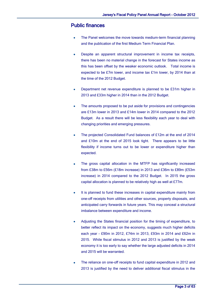# Public finances

- The Panel welcomes the move towards medium-term financial planning and the publication of the first Medium Term Financial Plan.
- Despite an apparent structural improvement in income tax receipts, there has been no material change in the forecast for States income as this has been offset by the weaker economic outlook. Total income is expected to be £7m lower, and income tax £1m lower, by 2014 than at the time of the 2012 Budget.
- Department net revenue expenditure is planned to be £31m higher in 2013 and £33m higher in 2014 than in the 2012 Budget.
- The amounts proposed to be put aside for provisions and contingencies are £13m lower in 2013 and £14m lower in 2014 compared to the 2012 Budget. As a result there will be less flexibility each year to deal with changing priorities and emerging pressures.
- The projected Consolidated Fund balances of £12m at the end of 2014 and £10m at the end of 2015 look tight. There appears to be little flexibility if income turns out to be lower or expenditure higher than expected.
- The gross capital allocation in the MTFP has significantly increased from £38m to £56m (£18m increase) in 2013 and £36m to £89m (£53m increase) in 2014 compared to the 2012 Budget. In 2015 the gross capital allocation is planned to be relatively high as well at £77m.
- It is planned to fund these increases in capital expenditure mainly from one-off receipts from utilities and other sources, property disposals, and anticipated carry forwards in future years. This may conceal a structural imbalance between expenditure and income.
- Adjusting the States financial position for the timing of expenditure, to better reflect its impact on the economy, suggests much higher deficits each year - £90m in 2012, £74m in 2013, £93m in 2014 and £62m in 2015. While fiscal stimulus in 2012 and 2013 is justified by the weak economy it is too early to say whether the large adjusted deficits in 2014 and 2015 will be warranted.
- The reliance on one-off receipts to fund capital expenditure in 2012 and 2013 is justified by the need to deliver additional fiscal stimulus in the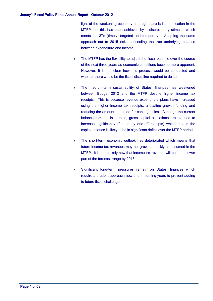light of the weakening economy although there is little indication in the MTFP that this has been achieved by a discretionary stimulus which meets the 3Ts (timely, targeted and temporary). Adopting the same approach out to 2015 risks concealing the true underlying balance between expenditure and income.

- The MTFP has the flexibility to adjust the fiscal balance over the course of the next three years as economic conditions become more apparent. However, it is not clear how this process would be conducted and whether there would be the fiscal discipline required to do so.
- The medium-term sustainability of States' finances has weakened between Budget 2012 and the MTFP despite higher income tax receipts. This is because revenue expenditure plans have increased using the higher income tax receipts, allocating growth funding and reducing the amount put aside for contingencies. Although the current balance remains in surplus, gross capital allocations are planned to increase significantly (funded by one-off receipts) which means the capital balance is likely to be in significant deficit over the MTFP period.
- The short-term economic outlook has deteriorated which means that future income tax revenues may not grow as quickly as assumed in the MTFP. It is more likely now that income tax revenue will be in the lower part of the forecast range by 2015.
- Significant long-term pressures remain on States' finances which require a prudent approach now and in coming years to prevent adding to future fiscal challenges.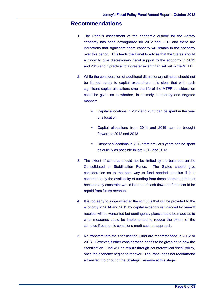# **Recommendations**

- 1. The Panel's assessment of the economic outlook for the Jersey economy has been downgraded for 2012 and 2013 and there are indications that significant spare capacity will remain in the economy over this period. This leads the Panel to advise that the States should act now to give discretionary fiscal support to the economy in 2012 and 2013 and if practical to a greater extent than set out in the MTFP.
- 2. While the consideration of additional discretionary stimulus should not be limited purely to capital expenditure it is clear that with such significant capital allocations over the life of the MTFP consideration could be given as to whether, in a timely, temporary and targeted manner:
	- Capital allocations in 2012 and 2013 can be spent in the year of allocation
	- Capital allocations from 2014 and 2015 can be brought forward to 2012 and 2013
	- Unspent allocations in 2012 from previous years can be spent as quickly as possible in late 2012 and 2013
- 3. The extent of stimulus should not be limited by the balances on the Consolidated or Stabilisation Funds. The States should give consideration as to the best way to fund needed stimulus if it is constrained by the availability of funding from these sources, not least because any constraint would be one of cash flow and funds could be repaid from future revenue.
- 4. It is too early to judge whether the stimulus that will be provided to the economy in 2014 and 2015 by capital expenditure financed by one-off receipts will be warranted but contingency plans should be made as to what measures could be implemented to reduce the extent of the stimulus if economic conditions merit such an approach.
- 5. No transfers into the Stabilisation Fund are recommended in 2012 or 2013. However, further consideration needs to be given as to how the Stabilisation Fund will be rebuilt through countercyclical fiscal policy, once the economy begins to recover. The Panel does not recommend a transfer into or out of the Strategic Reserve at this stage.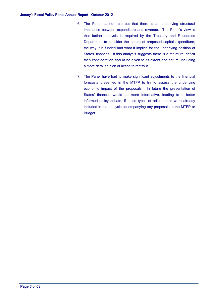- 6. The Panel cannot rule out that there is an underlying structural imbalance between expenditure and revenue. The Panel's view is that further analysis is required by the Treasury and Resources Department to consider the nature of proposed capital expenditure, the way it is funded and what it implies for the underlying position of States' finances. If this analysis suggests there is a structural deficit then consideration should be given to its extent and nature, including a more detailed plan of action to rectify it.
- 7. The Panel have had to make significant adjustments to the financial forecasts presented in the MTFP to try to assess the underlying economic impact of the proposals. In future the presentation of States' finances would be more informative, leading to a better informed policy debate, if these types of adjustments were already included in the analysis accompanying any proposals in the MTFP or Budget.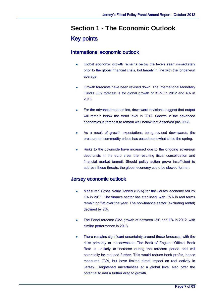# **Section 1 - The Economic Outlook** Key points

# International economic outlook

- Global economic growth remains below the levels seen immediately prior to the global financial crisis, but largely in line with the longer-run average.
- Growth forecasts have been revised down. The International Monetary Fund's July forecast is for global growth of 3½% in 2012 and 4% in 2013.
- For the advanced economies, downward revisions suggest that output will remain below the trend level in 2013. Growth in the advanced economies is forecast to remain well below that observed pre-2008.
- As a result of growth expectations being revised downwards, the pressure on commodity prices has eased somewhat since the spring.
- Risks to the downside have increased due to the ongoing sovereign debt crisis in the euro area, the resulting fiscal consolidation and financial market turmoil. Should policy action prove insufficient to address these threats, the global economy could be slowed further.

# Jersey economic outlook

- Measured Gross Value Added (GVA) for the Jersey economy fell by 1% in 2011. The finance sector has stabilised, with GVA in real terms remaining flat over the year. The non-finance sector (excluding rental) declined by 2%.
- The Panel forecast GVA growth of between -3% and 1% in 2012, with similar performance in 2013.
- There remains significant uncertainty around these forecasts, with the risks primarily to the downside. The Bank of England Official Bank Rate is unlikely to increase during the forecast period and will potentially be reduced further. This would reduce bank profits, hence measured GVA, but have limited direct impact on real activity in Jersey. Heightened uncertainties at a global level also offer the potential to add a further drag to growth.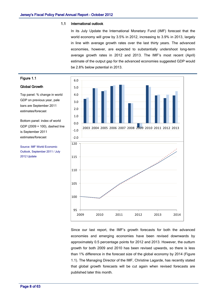#### 1.1 International outlook

In its July Update the International Monetary Fund (IMF) forecast that the world economy will grow by 3.5% in 2012, increasing to 3.9% in 2013, largely in line with average growth rates over the last thirty years. The advanced economies, however, are expected to substantially undershoot long-term average growth rates in 2012 and 2013. The IMF's most recent (April) estimate of the output gap for the advanced economies suggested GDP would be 2.8% below potential in 2013.



Since our last report, the IMF's growth forecasts for both the advanced economies and emerging economies have been revised downwards by approximately 0.5 percentage points for 2012 and 2013. However, the outturn growth for both 2009 and 2010 has been revised upwards, so there is less than 1% difference in the forecast size of the global economy by 2014 (Figure 1.1). The Managing Director of the IMF, Christine Lagarde, has recently stated that global growth forecasts will be cut again when revised forecasts are published later this month.

# Figure 1.1

#### Global Growth

Top panel: % change in world GDP on previous year, pale bars are September 2011 estimates/forecast

Bottom panel: index of world GDP (2009 = 100), dashed line is September 2011 estimates/forecast

Source: IMF World Economic Outlook, September 2011 / July 2012 Update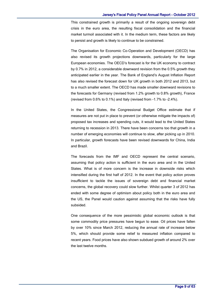#### Jersey's Fiscal Policy Panel Annual Report - October 2012

This constrained growth is primarily a result of the ongoing sovereign debt crisis in the euro area, the resulting fiscal consolidation and the financial market turmoil associated with it. In the medium term, these factors are likely to persist and growth is likely to continue to be constrained.

The Organisation for Economic Co-Operation and Development (OECD) has also revised its growth projections downwards, particularly for the large European economies. The OECD's forecast is for the UK economy to contract by 0.7% in 2012, a considerable downward revision from the 0.5% growth they anticipated earlier in the year. The Bank of England's August Inflation Report has also revised the forecast down for UK growth in both 2012 and 2013, but to a much smaller extent. The OECD has made smaller downward revisions to the forecasts for Germany (revised from 1.2% growth to 0.8% growth), France (revised from 0.6% to 0.1%) and Italy (revised from -1.7% to -2.4%).

In the United States, the Congressional Budget Office estimate that if measures are not put in place to prevent (or otherwise mitigate the impacts of) proposed tax increases and spending cuts, it would lead to the United States returning to recession in 2013. There have been concerns too that growth in a number of emerging economies will continue to slow, after picking up in 2010. In particular, growth forecasts have been revised downwards for China, India and Brazil.

The forecasts from the IMF and OECD represent the central scenario, assuming that policy action is sufficient in the euro area and in the United States. What is of more concern is the increase in downside risks which intensified during the first half of 2012. In the event that policy action proves insufficient to tackle the issues of sovereign debt and financial market concerns, the global recovery could slow further. Whilst quarter 3 of 2012 has ended with some degree of optimism about policy both in the euro area and the US, the Panel would caution against assuming that the risks have fully subsided.

One consequence of the more pessimistic global economic outlook is that some commodity price pressures have begun to ease. Oil prices have fallen by over 10% since March 2012, reducing the annual rate of increase below 5%, which should provide some relief to measured inflation compared to recent years. Food prices have also shown subdued growth of around 2% over the last twelve months.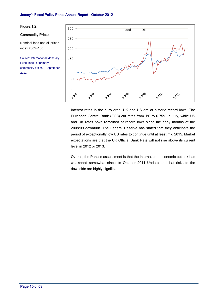#### Figure 1.2

#### Commodity Prices

Nominal food and oil prices index 2005=100

Source: International Monetary Fund, index of primary commodity prices – September 2012



Interest rates in the euro area, UK and US are at historic record lows. The European Central Bank (ECB) cut rates from 1% to 0.75% in July, while US and UK rates have remained at record lows since the early months of the 2008/09 downturn. The Federal Reserve has stated that they anticipate the period of exceptionally low US rates to continue until at least mid 2015. Market expectations are that the UK Official Bank Rate will not rise above its current level in 2012 or 2013.

Overall, the Panel's assessment is that the international economic outlook has weakened somewhat since its October 2011 Update and that risks to the downside are highly significant.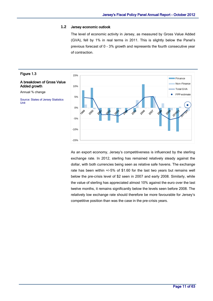#### **1.2** Jersey economic outlook

The level of economic activity in Jersey, as measured by Gross Value Added (GVA), fell by 1% in real terms in 2011. This is slightly below the Panel's previous forecast of 0 - 3% growth and represents the fourth consecutive year of contraction.



As an export economy, Jersey's competitiveness is influenced by the sterling exchange rate. In 2012, sterling has remained relatively steady against the dollar, with both currencies being seen as relative safe havens. The exchange rate has been within +/-5% of \$1.60 for the last two years but remains well below the pre-crisis level of \$2 seen in 2007 and early 2008. Similarly, while the value of sterling has appreciated almost 10% against the euro over the last twelve months, it remains significantly below the levels seen before 2008. The relatively low exchange rate should therefore be more favourable for Jersey's competitive position than was the case in the pre-crisis years.

## Figure 1.3

#### A breakdown of Gross Value Added growth

Annual % change

Source: States of Jersey Statistics Unit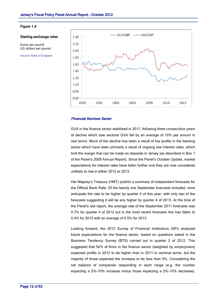

#### Figure 1.4

#### Sterling exchange rates

Euros per pound US dollars per pound

Source: Bank of England

#### Financial Services Sector

GVA in the finance sector stabilised in 2011, following three consecutive years of decline which saw sectoral GVA fall by an average of 10% per annum in real terms. Much of the decline has been a result of low profits in the banking sector which have been primarily a result of ongoing low interest rates, which limit the margin that can be made on deposits in Jersey (as described in Box 1 of the Panel's 2009 Annual Report). Since the Panel's October Update, market expectations for interest rates have fallen further and they are now considered unlikely to rise in either 2012 or 2013.

Her Majesty's Treasury (HMT) publish a summary of independent forecasts for the Official Bank Rate. Of the twenty one September forecasts included, none anticipate the rate to be higher by quarter 4 of this year, with only two of the forecasts suggesting it will be any higher by quarter 4 of 2013. At the time of the Panel's last report, the average rate of the September 2011 forecasts was 0.7% for quarter 4 of 2012 but in the most recent forecasts this has fallen to 0.4% for 2012 with an average of 0.5% for 2013.

Looking forward, the 2012 Survey of Financial Institutions (SFI) analysed future expectations for the finance sector, based on questions asked in the Business Tendency Survey (BTS) carried out in quarter 2 of 2012. This suggested that 54% of firms in the finance sector (weighted by employment) expected profits in 2012 to be higher than in 2011 in nominal terms, but the majority of those expected the increase to be less than 5%. Considering the net balance of companies responding in each range (e.g. the number expecting a 5%-10% increase minus those expecting a 5%-10% decrease),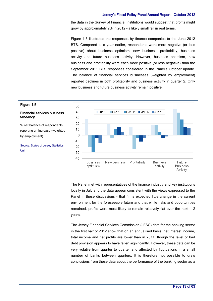the data in the Survey of Financial Institutions would suggest that profits might grow by approximately 2% in 2012 – a likely small fall in real terms.

Figure 1.5 illustrates the responses by finance companies to the June 2012 BTS. Compared to a year earlier, respondents were more negative (or less positive) about business optimism, new business, profitability, business activity and future business activity. However, business optimism, new business and profitability were each more positive (or less negative) than the September 2011 BTS responses considered in the Panel's October update. The balance of financial services businesses (weighted by employment) reported declines in both profitability and business activity in quarter 2. Only new business and future business activity remain positive.



The Panel met with representatives of the finance industry and key institutions locally in July and the data appear consistent with the views expressed to the Panel in these discussions - that firms expected little change in the current environment for the foreseeable future and that while risks and opportunities remained, profits were most likely to remain relatively flat over the next 1-2 years.

The Jersey Financial Services Commission (JFSC) data for the banking sector in the first half of 2012 show that on an annualised basis, net interest income, total income and net profits are lower than in 2011, though the level of bad debt provision appears to have fallen significantly. However, these data can be very volatile from quarter to quarter and affected by fluctuations in a small number of banks between quarters. It is therefore not possible to draw conclusions from these data about the performance of the banking sector as a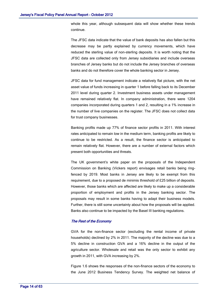whole this year, although subsequent data will show whether these trends continue.

The JFSC data indicate that the value of bank deposits has also fallen but this decrease may be partly explained by currency movements, which have reduced the sterling value of non-sterling deposits. It is worth noting that the JFSC data are collected only from Jersey subsidiaries and include overseas branches of Jersey banks but do not include the Jersey branches of overseas banks and do not therefore cover the whole banking sector in Jersey.

JFSC data for fund management indicate a relatively flat picture, with the net asset value of funds increasing in quarter 1 before falling back to its December 2011 level during quarter 2. Investment business assets under management have remained relatively flat. In company administration, there were 1204 companies incorporated during quarters 1 and 2, resulting in a 1% increase in the number of live companies on the register. The JFSC does not collect data for trust company businesses.

Banking profits made up 77% of finance sector profits in 2011. With interest rates anticipated to remain low in the medium term, banking profits are likely to continue to be restricted. As a result, the finance sector is anticipated to remain relatively flat. However, there are a number of external factors which present both opportunities and threats.

The UK government's white paper on the proposals of the Independent Commission on Banking (Vickers report) envisages retail banks being ringfenced by 2019. Most banks in Jersey are likely to be exempt from this requirement, due to a proposed de minimis threshold of £25 billion of deposits. However, those banks which are affected are likely to make up a considerable proportion of employment and profits in the Jersey banking sector. The proposals may result in some banks having to adapt their business models. Further, there is still some uncertainty about how the proposals will be applied. Banks also continue to be impacted by the Basel III banking regulations.

#### The Rest of the Economy

GVA for the non-finance sector (excluding the rental income of private households) declined by 2% in 2011. The majority of the decline was due to a 5% decline in construction GVA and a 16% decline in the output of the agriculture sector. Wholesale and retail was the only sector to exhibit any growth in 2011, with GVA increasing by 2%.

Figure 1.6 shows the responses of the non-finance sectors of the economy to the June 2012 Business Tendency Survey. The weighted net balance of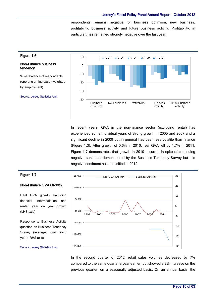respondents remains negative for business optimism, new business, profitability, business activity and future business activity. Profitability, in particular, has remained strongly negative over the last year.



In recent years, GVA in the non-finance sector (excluding rental) has experienced some individual years of strong growth in 2005 and 2007 and a significant decline in 2009 but in general has been less volatile than finance (Figure 1.3). After growth of 0.6% in 2010, real GVA fell by 1.7% in 2011. Figure 1.7 demonstrates that growth in 2010 occurred in spite of continuing negative sentiment demonstrated by the Business Tendency Survey but this negative sentiment has intensified in 2012.



### Non-Finance GVA Growth

Real GVA growth excluding financial intermediation and rental, year on year growth (LHS axis)

Response to Business Activity question on Business Tendency Survey (averaged over each year) (RHS axis)



Source: Jersey Statistics Unit

In the second quarter of 2012, retail sales volumes decreased by 7% compared to the same quarter a year earlier, but showed a 2% increase on the previous quarter, on a seasonally adjusted basis. On an annual basis, the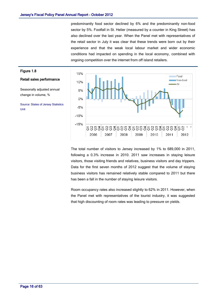predominantly food sector declined by 6% and the predominantly non-food sector by 5%. Footfall in St. Helier (measured by a counter in King Street) has also declined over the last year. When the Panel met with representatives of the retail sector in July it was clear that these trends were born out by their experience and that the weak local labour market and wider economic conditions had impacted on spending in the local economy, combined with ongoing competition over the internet from off island retailers.



The total number of visitors to Jersey increased by 1% to 689,000 in 2011, following a 0.3% increase in 2010. 2011 saw increases in staying leisure visitors, those visiting friends and relatives, business visitors and day trippers. Data for the first seven months of 2012 suggest that the volume of staying business visitors has remained relatively stable compared to 2011 but there has been a fall in the number of staying leisure visitors.

Room occupancy rates also increased slightly to 62% in 2011. However, when the Panel met with representatives of the tourist industry, it was suggested that high discounting of room rates was leading to pressure on yields.

## Page 16 of 63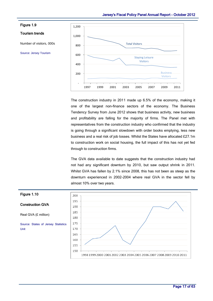![](_page_18_Figure_1.jpeg)

The construction industry in 2011 made up 6.5% of the economy, making it one of the largest non-finance sectors of the economy. The Business Tendency Survey from June 2012 shows that business activity, new business and profitability are falling for the majority of firms. The Panel met with representatives from the construction industry who confirmed that the industry is going through a significant slowdown with order books emptying, less new business and a real risk of job losses. Whilst the States have allocated £27.1m to construction work on social housing, the full impact of this has not yet fed through to construction firms.

The GVA data available to date suggests that the construction industry had not had any significant downturn by 2010, but saw output shrink in 2011. Whilst GVA has fallen by 2.1% since 2008, this has not been as steep as the downturn experienced in 2002-2004 where real GVA in the sector fell by almost 10% over two years.

![](_page_18_Figure_4.jpeg)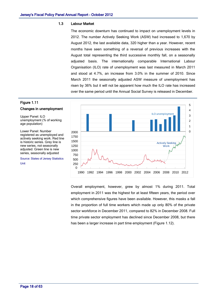#### 1.3 Labour Market

The economic downturn has continued to impact on unemployment levels in 2012. The number Actively Seeking Work (ASW) had increased to 1,670 by August 2012, the last available data, 320 higher than a year. However, recent months have seen something of a reversal of previous increases with the August total representing the third successive monthly fall, on a seasonally adjusted basis. The internationally comparable International Labour Organisation (ILO) rate of unemployment was last measured in March 2011 and stood at 4.7%, an increase from 3.0% in the summer of 2010. Since March 2011 the seasonally adjusted ASW measure of unemployment has risen by 36% but it will not be apparent how much the ILO rate has increased over the same period until the Annual Social Survey is released in December.

![](_page_19_Figure_3.jpeg)

#### Changes in unemployment

Upper Panel: ILO unemployment (% of working age population)

Lower Panel: Number registered as unemployed and actively seeking work. Red line is historic series. Grey line is new series, not seasonally adjusted. Green line is new series, seasonally adjusted

Source: States of Jersey Statistics Unit

![](_page_19_Figure_8.jpeg)

Overall employment, however, grew by almost 1% during 2011. Total employment in 2011 was the highest for at least fifteen years, the period over which comprehensive figures have been available. However, this masks a fall in the proportion of full time workers which made up only 80% of the private sector workforce in December 2011, compared to 82% in December 2008. Full time private sector employment has declined since December 2008, but there has been a larger increase in part time employment (Figure 1.12).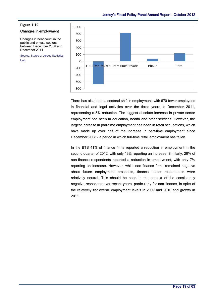#### Figure 1.12

#### Changes in employment

Changes in headcount in the public and private sectors between December 2008 and December 2011

Source: States of Jersey Statistics Unit

![](_page_20_Figure_5.jpeg)

There has also been a sectoral shift in employment, with 670 fewer employees in financial and legal activities over the three years to December 2011, representing a 5% reduction. The biggest absolute increase in private sector employment has been in education, health and other services. However, the largest increase in part-time employment has been in retail occupations, which have made up over half of the increase in part-time employment since December 2008 - a period in which full-time retail employment has fallen.

In the BTS 41% of finance firms reported a reduction in employment in the second quarter of 2012, with only 13% reporting an increase. Similarly, 29% of non-finance respondents reported a reduction in employment, with only 7% reporting an increase. However, while non-finance firms remained negative about future employment prospects, finance sector respondents were relatively neutral. This should be seen in the context of the consistently negative responses over recent years, particularly for non-finance, in spite of the relatively flat overall employment levels in 2009 and 2010 and growth in 2011.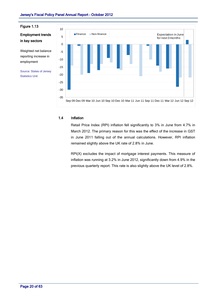Figure 1.13

# Employment trends in key sectors

Weighted net balance reporting increase in employment

Source: States of Jersey Statistics Unit

![](_page_21_Figure_5.jpeg)

### 1.4 Inflation

Retail Price Index (RPI) inflation fell significantly to 3% in June from 4.7% in March 2012. The primary reason for this was the effect of the increase in GST in June 2011 falling out of the annual calculations. However, RPI inflation remained slightly above the UK rate of 2.8% in June.

RPI(X) excludes the impact of mortgage interest payments. This measure of inflation was running at 3.2% in June 2012, significantly down from 4.9% in the previous quarterly report. This rate is also slightly above the UK level of 2.8%.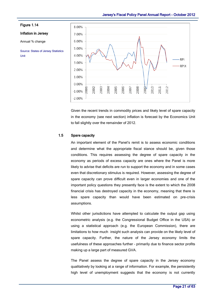**RPI** 

**RPIX** 

![](_page_22_Figure_1.jpeg)

ъe

 $-1.00%$  $-2.00%$ 

Given the recent trends in commodity prices and likely level of spare capacity in the economy (see next section) inflation is forecast by the Economics Unit to fall slightly over the remainder of 2012.

### 1.5 Spare capacity

An important element of the Panel's remit is to assess economic conditions and determine what the appropriate fiscal stance should be, given those conditions. This requires assessing the degree of spare capacity in the economy as periods of excess capacity are ones where the Panel is more likely to advise that deficits are run to support the economy and in some cases even that discretionary stimulus is required. However, assessing the degree of spare capacity can prove difficult even in larger economies and one of the important policy questions they presently face is the extent to which the 2008 financial crisis has destroyed capacity in the economy, meaning that there is less spare capacity than would have been estimated on pre-crisis assumptions.

Whilst other jurisdictions have attempted to calculate the output gap using econometric analysis (e.g. the Congressional Budget Office in the USA) or using a statistical approach (e.g. the European Commission), there are limitations to how much insight such analysis can provide on the likely level of spare capacity. Further, the nature of the Jersey economy limits the usefulness of these approaches further – primarily due to finance sector profits making up a large part of measured GVA.

The Panel assess the degree of spare capacity in the Jersey economy qualitatively by looking at a range of information. For example, the persistently high level of unemployment suggests that the economy is not currently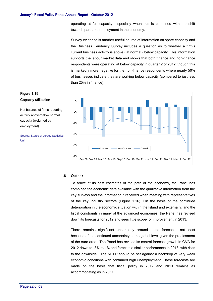operating at full capacity, especially when this is combined with the shift towards part-time employment in the economy.

Survey evidence is another useful source of information on spare capacity and the Business Tendency Survey includes a question as to whether a firm's current business activity is above / at normal / below capacity. This information supports the labour market data and shows that both finance and non-finance respondents were operating at below capacity in quarter 2 of 2012, though this is markedly more negative for the non-finance respondents where nearly 50% of businesses indicate they are working below capacity (compared to just less than 25% in finance).

![](_page_23_Figure_3.jpeg)

# Figure 1.15 Capacity utilisation

Net balance of firms reporting activity above/below normal capacity (weighted by employment)

Source: States of Jersey Statistics Unit

#### 1.6 Outlook

To arrive at its best estimates of the path of the economy, the Panel has combined the economic data available with the qualitative information from the key surveys and the information it received when meeting with representatives of the key industry sectors (Figure 1.16). On the basis of the continued deterioration in the economic situation within the Island and externally, and the fiscal constraints in many of the advanced economies, the Panel has revised down its forecasts for 2012 and sees little scope for improvement in 2013.

There remains significant uncertainty around these forecasts, not least because of the continued uncertainty at the global level given the predicament of the euro area. The Panel has revised its central forecast growth in GVA for 2012 down to -3% to 1% and forecast a similar performance in 2013, with risks to the downside. The MTFP should be set against a backdrop of very weak economic conditions with continued high unemployment. These forecasts are made on the basis that fiscal policy in 2012 and 2013 remains as accommodating as in 2011.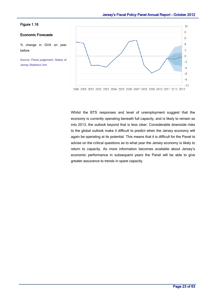### Figure 1.16

### Economic Forecasts

% change in GVA on year before

Source: Panel judgement; States of Jersey Statistics Unit

![](_page_24_Figure_5.jpeg)

Whilst the BTS responses and level of unemployment suggest that the economy is currently operating beneath full capacity, and is likely to remain so into 2013, the outlook beyond that is less clear. Considerable downside risks to the global outlook make it difficult to predict when the Jersey economy will again be operating at its potential. This means that it is difficult for the Panel to advise on the critical questions as to what year the Jersey economy is likely to return to capacity. As more information becomes available about Jersey's economic performance in subsequent years the Panel will be able to give greater assurance to trends in spare capacity.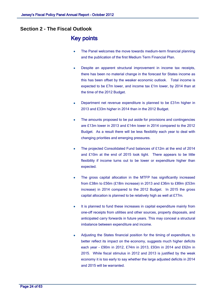# **Section 2 - The Fiscal Outlook**

# Key points

- The Panel welcomes the move towards medium-term financial planning and the publication of the first Medium Term Financial Plan.
- Despite an apparent structural improvement in income tax receipts, there has been no material change in the forecast for States income as this has been offset by the weaker economic outlook. Total income is expected to be £7m lower, and income tax £1m lower, by 2014 than at the time of the 2012 Budget.
- Department net revenue expenditure is planned to be £31m higher in 2013 and £33m higher in 2014 than in the 2012 Budget.
- The amounts proposed to be put aside for provisions and contingencies are £13m lower in 2013 and £14m lower in 2014 compared to the 2012 Budget. As a result there will be less flexibility each year to deal with changing priorities and emerging pressures.
- The projected Consolidated Fund balances of £12m at the end of 2014 and £10m at the end of 2015 look tight. There appears to be little flexibility if income turns out to be lower or expenditure higher than expected.
- The gross capital allocation in the MTFP has significantly increased from £38m to £56m (£18m increase) in 2013 and £36m to £89m (£53m increase) in 2014 compared to the 2012 Budget. In 2015 the gross capital allocation is planned to be relatively high as well at £77m.
- It is planned to fund these increases in capital expenditure mainly from one-off receipts from utilities and other sources, property disposals, and anticipated carry forwards in future years. This may conceal a structural imbalance between expenditure and income.
- Adjusting the States financial position for the timing of expenditure, to better reflect its impact on the economy, suggests much higher deficits each year - £90m in 2012, £74m in 2013, £93m in 2014 and £62m in 2015. While fiscal stimulus in 2012 and 2013 is justified by the weak economy it is too early to say whether the large adjusted deficits in 2014 and 2015 will be warranted.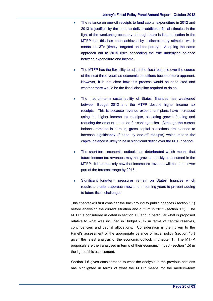- The reliance on one-off receipts to fund capital expenditure in 2012 and 2013 is justified by the need to deliver additional fiscal stimulus in the light of the weakening economy although there is little indication in the MTFP that this has been achieved by a discretionary stimulus which meets the 3Ts (timely, targeted and temporary). Adopting the same approach out to 2015 risks concealing the true underlying balance between expenditure and income.
- The MTFP has the flexibility to adjust the fiscal balance over the course of the next three years as economic conditions become more apparent. However, it is not clear how this process would be conducted and whether there would be the fiscal discipline required to do so.
- The medium-term sustainability of States' finances has weakened between Budget 2012 and the MTFP despite higher income tax receipts. This is because revenue expenditure plans have increased using the higher income tax receipts, allocating growth funding and reducing the amount put aside for contingencies. Although the current balance remains in surplus, gross capital allocations are planned to increase significantly (funded by one-off receipts) which means the capital balance is likely to be in significant deficit over the MTFP period.
- The short-term economic outlook has deteriorated which means that future income tax revenues may not grow as quickly as assumed in the MTFP. It is more likely now that income tax revenue will be in the lower part of the forecast range by 2015.
- Significant long-term pressures remain on States' finances which require a prudent approach now and in coming years to prevent adding to future fiscal challenges.

This chapter will first consider the background to public finances (section 1.1) before analysing the current situation and outturn in 2011 (section 1.2). The MTFP is considered in detail in section 1.3 and in particular what is proposed relative to what was included in Budget 2012 in terms of central reserves, contingencies and capital allocations. Consideration is then given to the Panel's assessment of the appropriate balance of fiscal policy (section 1.4) given the latest analysis of the economic outlook in chapter 1. The MTFP proposals are then analysed in terms of their economic impact (section 1.5) in the light of this assessment.

Section 1.6 gives consideration to what the analysis in the previous sections has highlighted in terms of what the MTFP means for the medium-term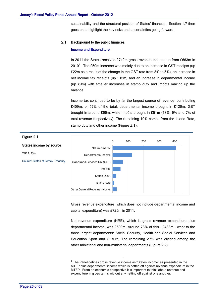sustainability and the structural position of States' finances. Section 1.7 then goes on to highlight the key risks and uncertainties going forward.

#### 2.1 Background to the public finances

#### Income and Expenditure

In 2011 the States received £712m gross revenue income, up from £663m in 2010<sup>1</sup>. The £50m increase was mainly due to an increase in GST receipts (up £22m as a result of the change in the GST rate from 3% to 5%), an increase in net income tax receipts (up £15m) and an increase in departmental income (up £9m) with smaller increases in stamp duty and impôts making up the balance.

Income tax continued to be by far the largest source of revenue, contributing £409m, or 57% of the total, departmental income brought in £126m, GST brought in around £66m, while impôts brought in £51m (18%, 9% and 7% of total revenue respectively). The remaining 10% comes from the Island Rate, stamp duty and other income [\(Figure](#page-27-0) 2.1).

<span id="page-27-0"></span>![](_page_27_Figure_6.jpeg)

Gross revenue expenditure (which does not include departmental income and capital expenditure) was £725m in 2011.

Net revenue expenditure (NRE), which is gross revenue expenditure plus departmental income, was £599m. Around 73% of this – £438m – went to the three largest departments: Social Security, Health and Social Services and Education Sport and Culture. The remaining 27% was divided among the other ministerial and non-ministerial departments [\(Figure 2.2](#page-28-0)).

<u>.</u>

 $1$  The Panel defines gross revenue income as "States income" as presented in the MTFP plus departmental income which is netted off against revenue expenditure in the MTFP. From an economic perspective it is important to think about revenue and expenditure in gross terms without any netting off against one another.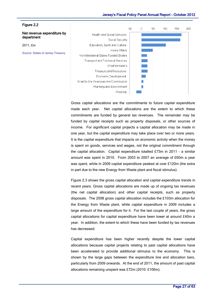<span id="page-28-0"></span>![](_page_28_Figure_1.jpeg)

Gross capital allocations are the commitments to future capital expenditure made each year. Net capital allocations are the extent to which these commitments are funded by general tax revenues. The remainder may be funded by capital receipts such as property disposals, or other sources of income. For significant capital projects a capital allocation may be made in one year, but the capital expenditure may take place over two or more years. It is the capital expenditure that impacts on economic activity when the money is spent on goods, services and wages, not the original commitment through the capital allocation. Capital expenditure totalled £73m in 2011 – a similar amount was spent in 2010. From 2003 to 2007 an average of £60m a year was spent, while in 2009 capital expenditure peaked at over £120m (the extra in part due to the new Energy from Waste plant and fiscal stimulus).

[Figure 2.3](#page-29-0) shows the gross capital allocation and capital expenditure trends in recent years. Gross capital allocations are made up of ongoing tax revenues (the net capital allocation) and other capital receipts, such as property disposals. The 2008 gross capital allocation includes the £103m allocation for the Energy from Waste plant, while capital expenditure in 2009 includes a large amount of the expenditure for it. For the last couple of years, the gross capital allocations for capital expenditure have been lower at around £40m a year. In addition, the extent to which these have been funded by tax revenues has decreased.

Capital expenditure has been higher recently despite the lower capital allocations because capital projects relating to past capital allocations have been accelerated to provide additional stimulus to the economy. This is shown by the large gaps between the expenditure line and allocation bars, particularly from 2009 onwards. At the end of 2011, the amount of past capital allocations remaining unspent was £72m (2010: £106m).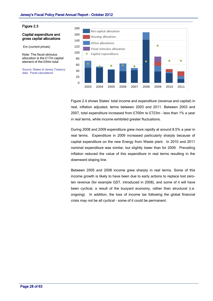#### <span id="page-29-0"></span>Figure 2.3

#### Capital expenditure and gross capital allocations

£m (current prices)

Note: The fiscal stimulus allocation is the £17m capital element of the £44m total

Source: States of Jersey Treasury data. Panel calculations

![](_page_29_Figure_6.jpeg)

[Figure 2.4](#page-30-0) shows States' total income and expenditure (revenue and capital) in real, inflation adjusted, terms between 2003 and 2011. Between 2003 and 2007, total expenditure increased from £700m to £723m - less than 1% a year in real terms, while income exhibited greater fluctuations.

During 2008 and 2009 expenditure grew more rapidly at around 8.5% a year in real terms. Expenditure in 2009 increased particularly sharply because of capital expenditure on the new Energy from Waste plant. In 2010 and 2011 nominal expenditure was similar, but slightly lower than for 2009. Prevailing inflation reduced the value of this expenditure in real terms resulting in the downward sloping line.

Between 2005 and 2008 income grew sharply in real terms. Some of this income growth is likely to have been due to early actions to replace lost zeroten revenue (for example GST, introduced in 2008), and some of it will have been cyclical, a result of the buoyant economy, rather than structural (i.e. ongoing). In addition, the loss of income tax following the global financial crisis may not be all cyclical - some of it could be permanent.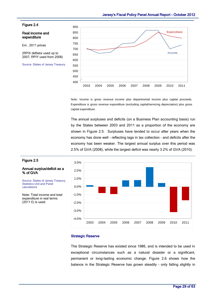#### <span id="page-30-0"></span>Figure 2.4

Real income and expenditure

£m , 2011 prices

(RPIX deflator used up to 2007, RPIY used from 2008)

Source: States of Jersey Treasury

![](_page_30_Figure_6.jpeg)

Note: Income is gross revenue income plus departmental income plus capital proceeds. Expenditure is gross revenue expenditure (excluding capital/servicing depreciation) plus gross capital expenditure.

The annual surpluses and deficits (on a Business Plan accounting basis) run by the States between 2003 and 2011 as a proportion of the economy are shown in [Figure 2.5](#page-30-1). Surpluses have tended to occur after years when the economy has done well – reflecting lags in tax collection – and deficits after the economy has been weaker. The largest annual surplus over this period was 2.5% of GVA (2008), while the largest deficit was nearly 3.2% of GVA (2010).

![](_page_30_Figure_9.jpeg)

# <span id="page-30-1"></span>Figure 2.5

#### Annual surplus/deficit as a % of GVA

Source: States of Jersey Treasury, Statistics Unit and Panel calculations

Note: Total income and total expenditure in real terms  $(2011 \text{ E})$  is used.

#### Strategic Reserve

The Strategic Reserve has existed since 1986, and is intended to be used in exceptional circumstances such as a natural disaster or a significant, permanent or long-lasting economic change. [Figure 2.6](#page-31-0) shows how the balance in the Strategic Reserve has grown steadily – only falling slightly in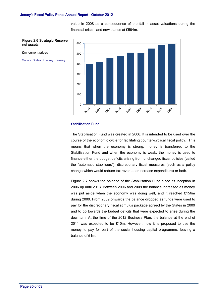value in 2008 as a consequence of the fall in asset valuations during the financial crisis – and now stands at £594m.

<span id="page-31-0"></span>![](_page_31_Figure_2.jpeg)

#### Figure 2.6 Strategic Reserve net assets

Source: States of Jersey Treasury

#### Stabilisation Fund

The Stabilisation Fund was created in 2006. It is intended to be used over the course of the economic cycle for facilitating counter-cyclical fiscal policy. This means that when the economy is strong, money is transferred to the Stabilisation Fund and when the economy is weak, the money is used to finance either the budget deficits arising from unchanged fiscal policies (called the "automatic stabilisers"), discretionary fiscal measures (such as a policy change which would reduce tax revenue or increase expenditure) or both.

[Figure 2.7](#page-32-0) shows the balance of the Stabilisation Fund since its inception in 2006 up until 2013. Between 2006 and 2009 the balance increased as money was put aside when the economy was doing well, and it reached £156m during 2009. From 2009 onwards the balance dropped as funds were used to pay for the discretionary fiscal stimulus package agreed by the States in 2009 and to go towards the budget deficits that were expected to arise during the downturn. At the time of the 2012 Business Plan, the balance at the end of 2011 was expected to be £10m. However, now it is proposed to use the money to pay for part of the social housing capital programme, leaving a balance of £1m.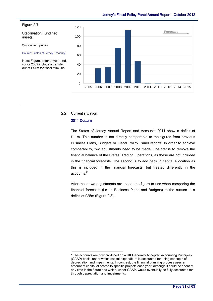#### <span id="page-32-0"></span>Figure 2.7

#### Stabilisation Fund net assets

£m, current prices

Source: States of Jersey Treasury

Note: Figures refer to year end, so for 2009 include a transfer out of £44m for fiscal stimulus

![](_page_32_Figure_6.jpeg)

# 2.2 Current situation

#### 2011 Outturn

The States of Jersey Annual Report and Accounts 2011 show a deficit of £11m. This number is not directly comparable to the figures from previous Business Plans, Budgets or Fiscal Policy Panel reports. In order to achieve comparability, two adjustments need to be made. The first is to remove the financial balance of the States' Trading Operations, as these are not included in the financial forecasts. The second is to add back in capital allocation as this is included in the financial forecasts, but treated differently in the accounts.<sup>2</sup>

After these two adjustments are made, the figure to use when comparing the financial forecasts (i.e. in Business Plans and Budgets) to the outturn is a deficit of £25m (Figure 2.8).

 2 The accounts are now produced on a UK Generally Accepted Accounting Principles (GAAP) basis, under which capital expenditure is accounted for using concepts of depreciation and impairments. In contrast, the financial planning process uses an amount of capital allocated to specific projects each year, although it could be spent at any time in the future and which, under GAAP, would eventually be fully accounted for through depreciation and impairments.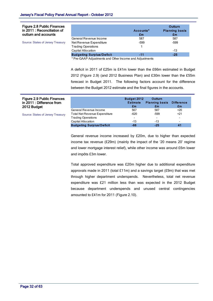| <b>Figure 2.8 Public Finances</b><br>in 2011 : Reconciliation of<br>outturn and accounts |                                                         | Accounts*<br>£m | <b>Outturn</b><br><b>Planning basis</b><br>£m |
|------------------------------------------------------------------------------------------|---------------------------------------------------------|-----------------|-----------------------------------------------|
|                                                                                          | General Revenue Income                                  | 587             | 587                                           |
| Source: States of Jersey Treasury                                                        | Net Revenue Expenditure                                 | -599            | -599                                          |
|                                                                                          | <b>Trading Operations</b>                               |                 |                                               |
|                                                                                          | Capital Allocation                                      |                 | -13                                           |
|                                                                                          | <b>Budgeting Surplus/Deficit</b>                        | -11             | $-25$                                         |
|                                                                                          | * Dro CAAD Adjustments and Other Income and Adjustments |                 |                                               |

Pre-GAAP Adjustments and Other Income and Adjustments

A deficit in 2011 of £25m is £41m lower than the £66m estimated in Budget 2012 ([Figure 2.](#page-33-0)9) (and 2012 Business Plan) and £30m lower than the £55m forecast in Budget 2011. The following factors account for the difference between the Budget 2012 estimate and the final figures in the accounts.

<span id="page-33-0"></span>

| <b>Figure 2.9 Public Finances</b><br>in 2011 : Difference from<br>2012 Budget |                                      | <b>Budget 2012</b><br><b>Estimate</b><br>£m | Outturn<br><b>Planning basis</b><br>£m | <b>Difference</b><br>£m |
|-------------------------------------------------------------------------------|--------------------------------------|---------------------------------------------|----------------------------------------|-------------------------|
|                                                                               | General Revenue Income               | 567                                         | 587                                    | $+20$                   |
| Source: States of Jersey Treasury                                             | <b>Total Net Revenue Expenditure</b> | $-620$                                      | -599                                   | $+21$                   |
|                                                                               | <b>Trading Operations</b>            | -                                           | -                                      |                         |
|                                                                               | Capital Allocation                   | $-13$                                       | $-13$                                  |                         |
|                                                                               | <b>Budgeting Surplus/Deficit</b>     | -66                                         | -25                                    | 41                      |

General revenue income increased by £20m, due to higher than expected income tax revenue (£29m) (mainly the impact of the '20 means 20' regime and lower mortgage interest relief), while other income was around £6m lower and impôts £3m lower.

Total approved expenditure was £20m higher due to additional expenditure approvals made in 2011 (total  $£11m$ ) and a savings target ( $£9m$ ) that was met through higher department underspends. Nevertheless, total net revenue expenditure was £21 million less than was expected in the 2012 Budget because department underspends and unused central contingencies amounted to £41m for 2011 [\(Figure 2.1](#page-34-0)0).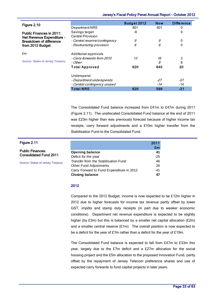<span id="page-34-0"></span>

|                                                              |                                            | Jersey's Fiscal Policy Panel Annual Report - October 2012 |            |                   |
|--------------------------------------------------------------|--------------------------------------------|-----------------------------------------------------------|------------|-------------------|
| Figure 2.10                                                  |                                            | Budget 2012                                               | <b>Now</b> | <b>Difference</b> |
|                                                              | Department NRE                             | 601                                                       | 601        | 0                 |
| <b>Public Finances in 2011:</b><br>Net Revenue Expenditure - | Savings target<br><b>Central Provision</b> | -9                                                        |            | 9                 |
| <b>Breakdown of difference</b>                               | - Central reserve/contingency              | 9                                                         | 9          | 0                 |
| from 2012 Budget                                             | - Restructuring provision                  | 6                                                         | 6          | 0                 |
| £m                                                           | Additional approvals                       |                                                           |            |                   |
|                                                              | - Carry-forwards from 2010                 | 13                                                        | 16         | 3                 |
| Source: States of Jersey Treasury                            | - Other                                    |                                                           | 8          | 8                 |
|                                                              | <b>Total Approved</b>                      | 620                                                       | 640        | 20                |
|                                                              | Underspend                                 |                                                           |            |                   |
|                                                              | - Department underspends                   |                                                           | -27        | -27               |
|                                                              | - Central contingency unused               |                                                           | $-14$      | -14               |
|                                                              | <b>Total NRE</b>                           | 620                                                       | 599        | $-21$             |

The Consolidated Fund balance increased from £41m to £47m during 2011 [\(Figure 2.1](#page-34-1)1). The unallocated Consolidated Fund balance at the end of 2011 was £23m higher than was previously forecast because of higher income tax receipts, carry forward adjustments and a £10m higher transfer from the Stabilisation Fund to the Consolidated Fund.

<span id="page-34-1"></span>

| Figure 2.11                       |                                           | 2011  |
|-----------------------------------|-------------------------------------------|-------|
|                                   |                                           | £m    |
| <b>Public Finances:</b>           | <b>Opening balance</b>                    | 41    |
| <b>Consolidated Fund 2011</b>     | Deficit for the year                      | $-25$ |
| Source: States of Jersey Treasury | Transfer from the Stabilisation Fund      | 46    |
|                                   | <b>Other Fund Adjustments</b>             | 26    |
|                                   | Carry Forward to Fund Expenditure in 2012 | -41   |
|                                   | <b>Closing balance</b>                    | 47    |

#### 2012

Compared to the 2012 Budget, income is now expected to be £12m higher in 2012 due to higher forecasts for income tax revenue partly offset by lower GST, impôts and stamp duty receipts (in part due to weaker economic conditions). Department net revenue expenditure is expected to be slightly higher (by £3m) but this is balanced by a smaller net capital allocation (£2m) and a smaller central reserve (£1m). The overall position is now expected to be a deficit for the year of £7m rather than a deficit for the year of £19m.

The Consolidated Fund balance is expected to fall from £47m to £33m this year, largely due to the £7m deficit and a £27m allocation for the social housing project and the £5m allocation to the proposed Innovation Fund, partly offset by the repayment of Jersey Telecom preference shares and use of expected carry forwards to fund capital projects in later years.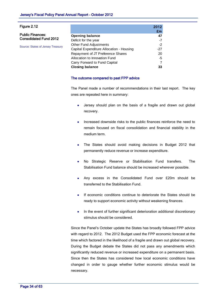| Figure 2.12                       |                                          | 2012  |
|-----------------------------------|------------------------------------------|-------|
|                                   |                                          | £m    |
| <b>Public Finances:</b>           | <b>Opening balance</b>                   | 47    |
| <b>Consolidated Fund 2012</b>     | Deficit for the year                     | $-7$  |
|                                   | <b>Other Fund Adjustments</b>            | $-2$  |
| Source: States of Jersey Treasury | Capital Expenditure Allocation - Housing | $-27$ |
|                                   | Repayment of JT Preference Shares        | 20    |
|                                   | Allocation to Innovation Fund            | -5    |
|                                   | Carry Forward to Fund Capital            | 7     |
|                                   | <b>Closing balance</b>                   | 33    |

#### The outcome compared to past FPP advice

The Panel made a number of recommendations in their last report. The key ones are repeated here in summary:

- Jersey should plan on the basis of a fragile and drawn out global recovery.
- Increased downside risks to the public finances reinforce the need to  $\bullet$ remain focused on fiscal consolidation and financial stability in the medium term.
- The States should avoid making decisions in Budget 2012 that permanently reduce revenue or increase expenditure.
- No Strategic Reserve or Stabilisation Fund transfers. The Stabilisation Fund balance should be increased wherever possible.
- Any excess in the Consolidated Fund over £20m should be transferred to the Stabilisation Fund.
- If economic conditions continue to deteriorate the States should be  $\blacksquare$ ready to support economic activity without weakening finances.
- $\bullet$ In the event of further significant deterioration additional discretionary stimulus should be considered.

Since the Panel's October update the States has broadly followed FPP advice with regard to 2012. The 2012 Budget used the FPP economic forecast at the time which factored in the likelihood of a fragile and drawn out global recovery. During the Budget debate the States did not pass any amendments which significantly reduced revenue or increased expenditure on a permanent basis. Since then the States has considered how local economic conditions have changed in order to gauge whether further economic stimulus would be necessary.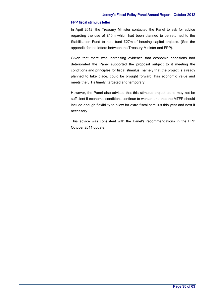#### FPP fiscal stimulus letter

In April 2012, the Treasury Minister contacted the Panel to ask for advice regarding the use of £10m which had been planned to be returned to the Stabilisation Fund to help fund £27m of housing capital projects. (See the appendix for the letters between the Treasury Minister and FPP).

Given that there was increasing evidence that economic conditions had deteriorated the Panel supported the proposal subject to it meeting the conditions and principles for fiscal stimulus, namely that the project is already planned to take place, could be brought forward, has economic value and meets the 3 T's timely, targeted and temporary.

However, the Panel also advised that this stimulus project alone may not be sufficient if economic conditions continue to worsen and that the MTFP should include enough flexibility to allow for extra fiscal stimulus this year and next if necessary.

This advice was consistent with the Panel's recommendations in the FPP October 2011 update.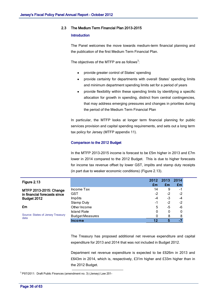#### 2.3 The Medium Term Financial Plan 2013-2015

#### Introduction

The Panel welcomes the move towards medium-term financial planning and the publication of the first Medium Term Financial Plan.

The objectives of the MTFP are as follows<sup>3</sup>:

- provide greater control of States' spending
- provide certainty for departments with overall States' spending limits and minimum department spending limits set for a period of years
- provide flexibility within these spending limits by identifying a specific  $\bullet$ allocation for growth in spending, distinct from central contingencies, that may address emerging pressures and changes in priorities during the period of the Medium Term Financial Plan

In particular, the MTFP looks at longer term financial planning for public services provision and capital spending requirements, and sets out a long term tax policy for Jersey (MTFP appendix 11).

#### Comparison to the 2012 Budget

In the MTFP 2013-2015 income is forecast to be £5m higher in 2013 and £7m lower in 2014 compared to the 2012 Budget. This is due to higher forecasts for income tax revenue offset by lower GST, impôts and stamp duty receipts (in part due to weaker economic conditions) [\(Figure 2.1](#page-37-0)3).

<span id="page-37-0"></span>

| 2012 2013<br>Figure 2.13<br>£m<br>Em<br>£m<br>Income Tax<br>14<br>9<br>-1<br>MTFP 2013-2015: Change<br>GST<br>$-2$<br>$-2$<br>$-2$<br>in financial forecasts since<br>$-3$<br>Impôts<br>$-4$<br>-4<br>Budget 2012<br>-2<br>$-2$<br>Stamp Duty<br>-1<br>£m<br>Other Income<br>5<br>-5<br>-6<br><b>Island Rate</b><br>0<br>0<br>0<br>Source: States of Jersey Treasury<br><b>Budget Measures</b><br>8<br>8<br>data |        |    |   |      |
|------------------------------------------------------------------------------------------------------------------------------------------------------------------------------------------------------------------------------------------------------------------------------------------------------------------------------------------------------------------------------------------------------------------|--------|----|---|------|
|                                                                                                                                                                                                                                                                                                                                                                                                                  |        |    |   | 2014 |
|                                                                                                                                                                                                                                                                                                                                                                                                                  |        |    |   |      |
|                                                                                                                                                                                                                                                                                                                                                                                                                  |        |    |   |      |
|                                                                                                                                                                                                                                                                                                                                                                                                                  |        |    |   |      |
|                                                                                                                                                                                                                                                                                                                                                                                                                  |        |    |   |      |
|                                                                                                                                                                                                                                                                                                                                                                                                                  |        |    |   |      |
|                                                                                                                                                                                                                                                                                                                                                                                                                  |        |    |   |      |
|                                                                                                                                                                                                                                                                                                                                                                                                                  |        |    |   |      |
|                                                                                                                                                                                                                                                                                                                                                                                                                  |        |    |   |      |
|                                                                                                                                                                                                                                                                                                                                                                                                                  | Income | 12 | 5 |      |

The Treasury has proposed additional net revenue expenditure and capital expenditure for 2013 and 2014 that was not included in Budget 2012.

Department net revenue expenditure is expected to be £626m in 2013 and £643m in 2014, which is, respectively, £31m higher and £33m higher than in the 2012 Budget.

<sup>3</sup> P97/2011: Draft Public Finances (amendment no. 3) (Jersey) Law 201-

<u>.</u>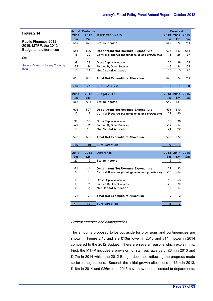<span id="page-38-0"></span>

|                                          |       | <b>Actual Probable</b> |                                                |       | Forecast         |              |
|------------------------------------------|-------|------------------------|------------------------------------------------|-------|------------------|--------------|
| Figure 2.14                              | 2011  | 2012                   | MTFP 2013-2015                                 |       | 2013 2014 2015   |              |
|                                          | £m    | £m                     |                                                | £m    | £m               | £m           |
| <b>Public Finances 2012-</b>             | 587   | 625                    | <b>States Income</b>                           | 647   | 674              | 711          |
| 2015: MTFP, the 2012                     |       |                        |                                                |       |                  |              |
| <b>Budget and differences</b>            | 584   | 596                    | <b>Department Net Revenue Expenditure</b>      | 625   | 643              | 654          |
|                                          | 15    | 22                     | Central Reserve (Contingencies and growth etc) | 8     | 26               | 37           |
| £m                                       |       |                        |                                                |       |                  |              |
|                                          | 38    | 38                     | Gross Capital Allocation                       | 56    | 89               | 77           |
| <b>Source: States of Jersey Treasury</b> | $-25$ | $-24$                  | Funded By Other Sources                        | -43   | -84              | -57          |
| data                                     | 13    | 14                     | <b>Net Capital Allocation</b>                  | 13    | 5                | 20           |
|                                          |       |                        |                                                |       |                  |              |
|                                          | 612   | 632                    | <b>Total Net Expenditure Allocation</b>        | 646   | 674              | 711          |
|                                          |       |                        |                                                |       |                  |              |
|                                          | $-25$ | $-7$                   | Surplus/deficit                                | 1     | $\mathbf 0$      | $\mathbf{0}$ |
|                                          |       |                        |                                                |       |                  |              |
|                                          | 2011  | 2012                   | Budget 2012                                    |       | 2013 2014 2015   |              |
|                                          | £m    | £m                     |                                                | £m    | £m               | £m           |
|                                          | 567   | 613                    | <b>States Income</b>                           | 642   | 681              |              |
|                                          |       |                        |                                                |       |                  |              |
|                                          | 605   | 597                    | <b>Department Net Revenue Expenditure</b>      | 594   | 610              |              |
|                                          | 15    | 19                     | Central Reserve (Contingencies and growth etc) | 21    | 40               |              |
|                                          |       |                        |                                                |       |                  |              |
|                                          | 38    | 38                     | <b>Gross Capital Allocation</b>                | 38    | 36               |              |
|                                          | $-25$ | $-22$                  | Funded By Other Sources                        | $-17$ | -14              |              |
|                                          | 13    | 16                     | <b>Net Capital Allocation</b>                  | 21    | 22               |              |
|                                          |       |                        |                                                |       |                  |              |
|                                          | 633   | 632                    | <b>Total Net Expenditure Allocation</b>        | 636   | 672              |              |
|                                          |       |                        |                                                |       |                  |              |
|                                          | -66   | $-19$                  | Surplus/deficit                                | 6     | $\boldsymbol{9}$ |              |
|                                          |       |                        |                                                |       |                  |              |
|                                          | 2011  | 2012                   | <b>Difference</b>                              |       | 2013 2014 2015   |              |
|                                          | £m    | £m                     |                                                | £m    | £m               | £m           |
|                                          | 20    | 12                     | <b>States Income</b>                           | 5     | $-7$             |              |
|                                          |       |                        |                                                |       |                  |              |
|                                          | $-21$ | $-1$                   | <b>Department Net Revenue Expenditure</b>      | 31    | 33               |              |
|                                          | 0     | 3                      | Central Reserve (Contingencies and growth etc) | -13   | $-14$            |              |
|                                          |       |                        |                                                |       |                  |              |
|                                          | 0     | 0                      | Gross Capital Allocation                       | 18    | 53               |              |
|                                          | 0     | $-2$                   | Funded By Other Sources                        | -26   | -70              |              |
|                                          | 0     | $-2$                   | <b>Net Capital Allocation</b>                  | -8    | $-17$            |              |
|                                          |       |                        |                                                |       |                  |              |
|                                          | $-21$ | 0                      | <b>Total Net Expenditure Allocation</b>        | 10    | $\overline{c}$   |              |
|                                          |       |                        |                                                |       |                  |              |
|                                          | 41    | 12                     | Surplus/deficit                                | $-5$  | $-9$             |              |
|                                          |       |                        |                                                |       |                  |              |

#### Central reserves and contingencies

The amounts proposed to be put aside for provisions and contingencies are shown in [Figure 2.1](#page-39-0)5 and are £13m lower in 2013 and £14m lower in 2014 compared to the 2012 Budget. There are several reasons which explain this. First, the MTFP includes a provision for staff pay awards of £6m in 2013 and £17m in 2014 which the 2012 Budget does not, reflecting the progress made so far in negotiations. Second, the initial growth allocations of £6m in 2013, £16m in 2014 and £26m from 2015 have now been allocated to departments.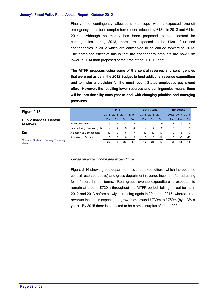Finally, the contingency allocations (to cope with unexpected one-off emergency items for example) have been reduced by £13m in 2013 and £14m 2014. Although no money has been proposed to be allocated for contingencies during 2013, there are expected to be £6m of unused contingencies in 2012 which are earmarked to be carried forward to 2013. The combined effect of this is that the contingency amounts are now £7m lower in 2014 than proposed at the time of the 2012 Budget.

The MTFP proposes using some of the central reserves and contingencies that were put aside in the 2012 Budget to fund additional revenue expenditure and to make a provision for the most recent States employees pay award offer. However, the resulting lower reserves and contingencies means there will be less flexibility each year to deal with changing priorities and emerging pressures.

<span id="page-39-0"></span>

| Figure 2.15                               |                               | <b>MTFP</b> |          |      | 2012 Budget |              |           | <b>Difference</b> |              |              |      |
|-------------------------------------------|-------------------------------|-------------|----------|------|-------------|--------------|-----------|-------------------|--------------|--------------|------|
|                                           |                               | 2012        | 2013     | 2014 | 2015        | 2012         | 2013 2014 |                   | 2012         | 2013         | 2014 |
| <b>Public finances: Central</b>           |                               | £m          | £m       | £m   | £m          | £m           | £m        | £m                | £m           | £m           | £m   |
| reserves                                  | Pay Provision (net)           | 3           | 6        | 17   | 26          | $\Omega$     | $\Omega$  | 9                 | 3            | 6            | 8    |
|                                           | Restructuring Provision (net) |             | 2        | 3    | 4           |              | 2         | 2                 | $\mathbf{0}$ | $\mathbf{0}$ |      |
| £m                                        | Allocation to Contingencies   | 12          | 0        | 6    |             | 12           | 13        | 13                | 0            | -13          | $-7$ |
|                                           | Allocation to Growth          | 0           | $\Omega$ | 0    | 0           | $\mathbf{0}$ | 6         | 16                | $\mathbf{0}$ | -6           | -16  |
| Source: States of Jersey Treasury<br>data |                               | 22          | 8        | 26   | 37          | 19           | 21        | 40                | з            | $-13$        | -14  |

#### Gross revenue income and expenditure

[Figure 2.1](#page-40-0)6 shows gross department revenue expenditure (which includes the central reserves above) and gross department revenue income, after adjusting for inflation, in real terms. Real gross revenue expenditure is expected to remain at around £730m throughout the MTFP period, falling in real terms in 2012 and 2013 before slowly increasing again in 2014 and 2015, whereas real revenue income is expected to grow from around £730m to £750m (by 1.3% a year). By 2015 there is expected to be a small surplus of about £20m.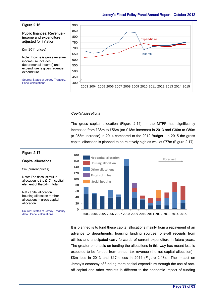#### <span id="page-40-0"></span>Figure 2.16

Public finances: Revenue income and expenditure, adjusted for inflation

£m (2011 prices)

Note: Income is gross revenue income (so includes departmental income) and expenditure is gross revenue expenditure

Source: States of Jersey Treasury, Panel calculations

![](_page_40_Figure_6.jpeg)

#### Capital allocations

The gross capital allocation [\(Figure 2.1](#page-38-0)4), in the MTFP has significantly increased from £38m to £56m (an £18m increase) in 2013 and £36m to £89m (a £53m increase) in 2014 compared to the 2012 Budget. In 2015 the gross capital allocation is planned to be relatively high as well at £77m [\(Figure 2.1](#page-40-1)7).

![](_page_40_Figure_9.jpeg)

# It is planned is to fund these capital allocations mainly from a repayment of an advance to departments, housing funding sources, one-off receipts from utilities and anticipated carry forwards of current expenditure in future years. The greater emphasis on funding the allocations in this way has meant less is expected to be funded from annual tax revenue (the net capital allocation) - £8m less in 2013 and £17m less in 2014 [\(Figure 2.1](#page-41-0)8). The impact on Jersey's economy of funding more capital expenditure through the use of oneoff capital and other receipts is different to the economic impact of funding

#### <span id="page-40-1"></span>Figure 2.17

#### Capital allocations

£m (current prices)

Note: The fiscal stimulus allocation is the £17m capital element of the £44m total.

Net capital allocation + housing allocation + other allocations = gross capital allocation

Source: States of Jersey Treasury data. Panel calculations.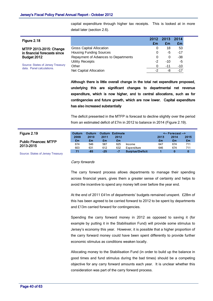capital expenditure through higher tax receipts. This is looked at in more detail later (section 2.6).

<span id="page-41-0"></span>

| Figure 2.18                                                    |                                      | 2012 2013<br>£m | £m    | 2014<br>£m |  |
|----------------------------------------------------------------|--------------------------------------|-----------------|-------|------------|--|
| MTFP 2013-2015: Change                                         | <b>Gross Capital Allocation</b>      | 0               | 18    | 53         |  |
| in financial forecasts since                                   | <b>Housing Funding Sources</b>       | 0               | -5    | $-17$      |  |
| Budget 2012                                                    | Repayment of Advances to Departments | 0               | 0     | $-38$      |  |
|                                                                | Utility Receipts                     | -2              | $-10$ | -5         |  |
| Source: States of Jersey Treasury<br>data. Panel calculations. | Other                                | 0               | -11   | $-10$      |  |
|                                                                | Net Capital Allocation               | -2              | -8    | $-17$      |  |

Although there is little overall change in the total net expenditure proposed, underlying this are significant changes to departmental net revenue expenditure, which is now higher, and to central allocations, such as for contingencies and future growth, which are now lower. Capital expenditure has also increased substantially

The deficit presented in the MTFP is forecast to decline slightly over the period from an estimated deficit of £7m in 2012 to balance in 2014 [\(Figure 2.1](#page-41-1)9).

<span id="page-41-1"></span>

| Figure 2.19                       | Outturn<br>2009 | Outturn<br>2010 | 2011  | <b>Outturn Estimate</b><br>2012 |                        | 2013 | $\leftarrow$ Forecast --><br>2014 | 2015 |
|-----------------------------------|-----------------|-----------------|-------|---------------------------------|------------------------|------|-----------------------------------|------|
| <b>Public Finances: MTFP</b>      | £m              | £m              | £m    | £m                              |                        | £m   | £m                                | £m   |
| 2013-2015                         | 674             | 546             | 587   | 625                             | Income                 | 647  | 674                               | 711  |
|                                   | 603             | 631             | 612   | 632                             | Expenditure            | 646  | 674                               | 711  |
|                                   | 71              | $-85$           | $-25$ | -7                              | <b>Surplus/Deficit</b> |      | 0                                 | 0    |
| Source: States of Jersey Treasury |                 |                 |       |                                 |                        |      |                                   |      |

Carry forwards

The carry forward process allows departments to manage their spending across financial years, gives them a greater sense of certainty and helps to avoid the incentive to spend any money left over before the year end.

At the end of 2011 £41m of departments' budgets remained unspent. £28m of this has been agreed to be carried forward to 2012 to be spent by departments and £13m carried forward for contingencies.

Spending the carry forward money in 2012 as opposed to saving it (for example by putting it in the Stabilisation Fund) will provide some stimulus to Jersey's economy this year. However, it is possible that a higher proportion of the carry forward money could have been spent differently to provide further economic stimulus as conditions weaken locally.

Allocating money to the Stabilisation Fund (in order to build up the balance in good times and fund stimulus during the bad times) should be a competing objective for any carry forward amounts each year. It is unclear whether this consideration was part of the carry forward process.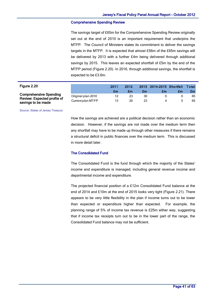#### Comprehensive Spending Review

The savings target of £65m for the Comprehensive Spending Review originally set out at the end of 2010 is an important requirement that underpins the MTFP. The Council of Ministers states its commitment to deliver the savings targets in the MTFP. It is expected that almost £56m of the £65m savings will be delivered by 2013 with a further £4m being delivered through additional savings by 2015. This leaves an expected shortfall of £5m by the end of the MTFP period [\(Figure 2.2](#page-42-0)0). In 2016, through additional savings, the shortfall is expected to be £3.6m.

<span id="page-42-0"></span>

|                                                   | expected to be £3.6m. |      |      |    |                          |    |       |
|---------------------------------------------------|-----------------------|------|------|----|--------------------------|----|-------|
| Figure 2.20                                       |                       | 2011 | 2012 |    | 2013 2014-2015 Shortfall |    | Total |
|                                                   |                       | £m   | £m   | £m | £m                       | £m | £m    |
| <b>Comprehensive Spending</b>                     | Original plan 2010    | 12   | 23   | 30 | 0                        |    | 65    |
| Review: Expected profile of<br>savings to be made | Current plan MTFP     | 13   | 20   | 23 | 4                        |    | 65    |

Source: States of Jersey Treasury

How the savings are achieved are a political decision rather than an economic decision. However, if the savings are not made over the medium term then any shortfall may have to be made up through other measures if there remains a structural deficit in public finances over the medium term. This is discussed in more detail later.

#### The Consolidated Fund

The Consolidated Fund is the fund through which the majority of the States' income and expenditure is managed, including general revenue income and departmental income and expenditure.

The projected financial position of a £12m Consolidated Fund balance at the end of 2014 and £10m at the end of 2015 looks very tight [\(Figure 2.2](#page-43-0)1). There appears to be very little flexibility in the plan if income turns out to be lower than expected or expenditure higher than expected. For example, the planning range of 5% of income tax revenue is £25m either way, suggesting that if income tax receipts turn out to be in the lower part of the range, the Consolidated Fund balance may not be sufficient.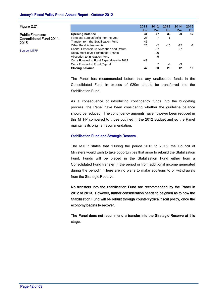<span id="page-43-0"></span>

| Figure 2.21                    |                                           | 2011<br>£m | 2012<br>£m | 2013<br>£m | 2014<br>£m. | 2015<br>£m |
|--------------------------------|-------------------------------------------|------------|------------|------------|-------------|------------|
| <b>Public Finances:</b>        | <b>Opening balance</b>                    | 41         | 47         | 33         | 20          | $12 \,$    |
| <b>Consolidated Fund 2011-</b> | Forecast Surplus/deficit for the year     | $-25$      | $-7$       |            |             |            |
| 2015                           | Transfer from the Stabilisation Fund      | 46         |            |            |             |            |
|                                | <b>Other Fund Adjustments</b>             | 26         | $-2$       | $-10$      | $-32$       | $-2$       |
| Source: MTFP                   | Capital Expenditure Allocation and Return |            | $-27$      |            | 27          |            |
|                                | Repayment of JT Preference Shares         |            | 20         |            |             |            |
|                                | Allocation to Innovation Fund             |            | -5         |            |             |            |
|                                | Carry Forward to Fund Expenditure in 2012 | -41        |            |            |             |            |
|                                | Carry Forward to Fund Capital             |            |            | $-4$       | -3          |            |
|                                | <b>Closing balance</b>                    | 47         | 33         | 20         | 12          | 10         |

The Panel has recommended before that any unallocated funds in the Consolidated Fund in excess of £20m should be transferred into the Stabilisation Fund.

As a consequence of introducing contingency funds into the budgeting process, the Panel have been considering whether the guideline balance should be reduced. The contingency amounts have however been reduced in this MTFP compared to those outlined in the 2012 Budget and so the Panel maintains its original recommendation.

#### Stabilisation Fund and Strategic Reserve

The MTFP states that "During the period 2013 to 2015, the Council of Ministers would wish to take opportunities that arise to rebuild the Stabilisation Fund. Funds will be placed in the Stabilisation Fund either from a Consolidated Fund transfer in the period or from additional income generated during the period." There are no plans to make additions to or withdrawals from the Strategic Reserve.

No transfers into the Stabilisation Fund are recommended by the Panel in 2012 or 2013. However, further consideration needs to be given as to how the Stabilisation Fund will be rebuilt through countercyclical fiscal policy, once the economy begins to recover.

The Panel does not recommend a transfer into the Strategic Reserve at this stage.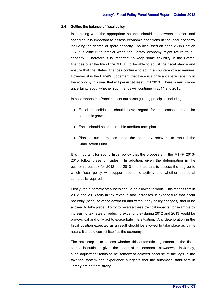#### 2.4 Setting the balance of fiscal policy

In deciding what the appropriate balance should be between taxation and spending it is important to assess economic conditions in the local economy including the degree of spare capacity. As discussed on page 23 in Section 1.6 it is difficult to predict when the Jersey economy might return to full capacity. Therefore it is important to keep some flexibility in the States' finances over the life of the MTFP, to be able to adjust the fiscal stance and ensure that the States' finances continue to act in a counter-cyclical manner. However, it is the Panel's judgement that there is significant spare capacity in the economy this year that will persist at least until 2013. There is much more uncertainty about whether such trends will continue in 2014 and 2015.

In past reports the Panel has set out some guiding principles including:

- Fiscal consolidation should have regard for the consequences for economic growth
- Focus should be on a credible medium-term plan
- Plan to run surpluses once the economy recovers to rebuild the Stabilisation Fund.

It is important for sound fiscal policy that the proposals in the MTFP 2013- 2015 follow these principles. In addition, given the deterioration in the economic outlook for 2012 and 2013 it is important to assess the degree to which fiscal policy will support economic activity and whether additional stimulus is required.

Firstly, the automatic stabilisers should be allowed to work. This means that in 2012 and 2013 falls in tax revenue and increases in expenditure that occur naturally (because of the downturn and without any policy changes) should be allowed to take place. To try to reverse these cyclical impacts (for example by increasing tax rates or reducing expenditure) during 2012 and 2013 would be pro-cyclical and only act to exacerbate the situation. Any deterioration in the fiscal position expected as a result should be allowed to take place as by its nature it should correct itself as the economy.

The next step is to assess whether this automatic adjustment in the fiscal stance is sufficient given the extent of the economic slowdown. In Jersey, such adjustment tends to be somewhat delayed because of the lags in the taxation system and experience suggests that the automatic stabilisers in Jersey are not that strong.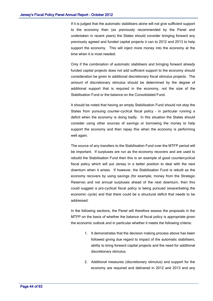If it is judged that the automatic stabilisers alone will not give sufficient support to the economy then (as previously recommended by the Panel and undertaken in recent years) the States should consider bringing forward any previously agreed and funded capital projects it can to 2012 and 2013 to help support the economy. This will inject more money into the economy at the time when it is most needed.

Only if the combination of automatic stabilisers and bringing forward already funded capital projects does not add sufficient support to the economy should consideration be given to additional discretionary fiscal stimulus projects. The amount of discretionary stimulus should be determined by the degree of additional support that is required in the economy, not the size of the Stabilisation Fund or the balance on the Consolidated Fund.

It should be noted that having an empty Stabilisation Fund should not stop the States from pursuing counter-cyclical fiscal policy – in particular running a deficit when the economy is doing badly. In this situation the States should consider using other sources of savings or borrowing the money to help support the economy and then repay this when the economy is performing well again.

The source of any transfers to the Stabilisation Fund over the MTFP period will be important. If surpluses are run as the economy recovers and are used to rebuild the Stabilisation Fund then this is an example of good countercyclical fiscal policy which will put Jersey in a better position to deal with the next downturn when it arises. If however, the Stabilisation Fund is rebuilt as the economy recovers by using savings (for example, money from the Strategic Reserve) and not annual surpluses ahead of the next downturn, then this could suggest a pro-cyclical fiscal policy is being pursued (exacerbating the economic cycle) and that there could be a structural deficit that needs to be addressed.

In the following sections, the Panel will therefore assess the proposals in the MTFP on the basis of whether the balance of fiscal policy is appropriate given the economic outlook and in particular whether it meets the following criteria:

- 1. It demonstrates that the decision making process above has been followed giving due regard to impact of the automatic stabilisers, ability to bring forward capital projects and the need for additional discretionary stimulus.
- 2. Additional measures (discretionary stimulus) and support for the economy are required and delivered in 2012 and 2013 and any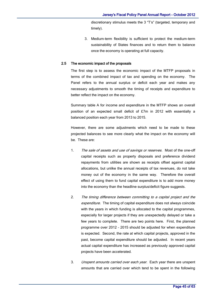discretionary stimulus meets the 3 "T's" (targeted, temporary and timely).

3. Medium-term flexibility is sufficient to protect the medium-term sustainability of States finances and to return them to balance once the economy is operating at full capacity.

#### 2.5 The economic impact of the proposals

The first step is to assess the economic impact of the MTFP proposals in terms of the combined impact of tax and spending on the economy. The Panel refers to the annual surplus or deficit each year and makes any necessary adjustments to smooth the timing of receipts and expenditure to better reflect the impact on the economy.

Summary table A for income and expenditure in the MTFP shows an overall position of an expected small deficit of £7m in 2012 with essentially a balanced position each year from 2013 to 2015.

However, there are some adjustments which need to be made to these projected balances to see more clearly what the impact on the economy will be. These are:

- 1. The sale of assets and use of savings or reserves. Most of the one-off capital receipts such as property disposals and preference dividend repayments from utilities are shown as receipts offset against capital allocations, but unlike the annual receipts of tax revenues, do not take money out of the economy in the same way. Therefore the overall effect of using them to fund capital expenditure is to add more money into the economy than the headline surplus/deficit figure suggests.
- 2. The timing difference between committing to a capital project and the expenditure. The timing of capital expenditure does not always coincide with the years in which funding is allocated to the capital programmes, especially for larger projects if they are unexpectedly delayed or take a few years to complete. There are two points here. First, the planned programme over 2012 – 2015 should be adjusted for when expenditure is expected. Second, the rate at which capital projects, approved in the past, become capital expenditure should be adjusted. In recent years actual capital expenditure has increased as previously approved capital projects have been accelerated.
- 3. Unspent amounts carried over each year. Each year there are unspent amounts that are carried over which tend to be spent in the following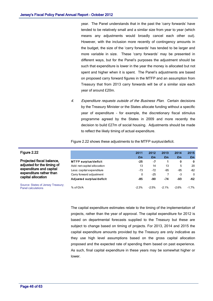year. The Panel understands that in the past the 'carry forwards' have tended to be relatively small and a similar size from year to year (which means any adjustments would broadly cancel each other out). However, with the inclusion more recently of contingency amounts in the budget, the size of the 'carry forwards' has tended to be larger and more variable in size. These 'carry forwards' may be presented in different ways, but for the Panel's purposes the adjustment should be such that expenditure is lower in the year the money is allocated but not spent and higher when it is spent. The Panel's adjustments are based on proposed carry forward figures in the MTFP and an assumption from Treasury that from 2013 carry forwards will be of a similar size each year of around £20m.

4. Expenditure requests outside of the Business Plan. Certain decisions by the Treasury Minister or the States allocate funding without a specific year of expenditure – for example, the discretionary fiscal stimulus programme agreed by the States in 2009 and more recently the decision to build £27m of social housing. Adjustments should be made to reflect the likely timing of actual expenditure.

[Figure 2.2](#page-47-0)2 shows these adjustments to the MTFP surplus/deficit.

|                                                                                                                                                                                                                  |                             | 2011    | 2012    | 2013    | 2014    | 2015     |
|------------------------------------------------------------------------------------------------------------------------------------------------------------------------------------------------------------------|-----------------------------|---------|---------|---------|---------|----------|
| gure 2.22<br>rojected fiscal balance,<br>ljusted for the timing of<br>penditure and capital<br><b>penditure rather than</b><br>apital allocation<br>ource: States of Jersey Treasury;<br><b>nel calculations</b> |                             | £m      | £m      | £m      | £m      | £m       |
|                                                                                                                                                                                                                  | <b>MTFP surplus/deficit</b> | $-25$   | $-7$    |         | 0       | 0        |
|                                                                                                                                                                                                                  | Add: net capital allocation | 13      | 14      | 13      | 5       | 20       |
|                                                                                                                                                                                                                  | Less: capital expenditure   | -73     | $-72$   | $-95$   | $-95$   | $-82$    |
|                                                                                                                                                                                                                  | Carry forward adjustment    | 0       | $-25$   |         | $-3$    | $\Omega$ |
|                                                                                                                                                                                                                  | Adjusted surplus/deficit    | -85     | -90     | -74     | -93     | $-62$    |
|                                                                                                                                                                                                                  | % of GVA                    | $-2.3%$ | $-2.5%$ | $-2.1%$ | $-2.6%$ | $-1.7\%$ |

The capital expenditure estimates relate to the timing of the implementation of projects, rather than the year of approval. The capital expenditure for 2012 is based on departmental forecasts supplied to the Treasury but these are subject to change based on timing of projects. For 2013, 2014 and 2015 the capital expenditure amounts provided by the Treasury are only indicative as they use high level assumptions based on the gross capital allocation proposed and the expected rate of spending them based on past experience. As such, final capital expenditure in these years may be somewhat higher or lower.

#### <span id="page-47-0"></span>Fig

Projected fiscal balance, adjusted for the timing of expenditure and capital expenditure rather than capital allocation

Source: States of Jersey Treasury; Pan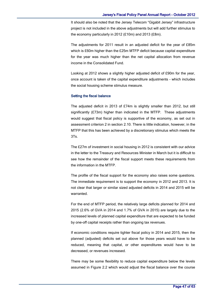It should also be noted that the Jersey Telecom "Gigabit Jersey" infrastructure project is not included in the above adjustments but will add further stimulus to the economy particularly in 2012 (£10m) and 2013 (£8m).

The adjustments for 2011 result in an adjusted deficit for the year of £85m which is £60m higher than the £25m MTFP deficit because capital expenditure for the year was much higher than the net capital allocation from revenue income in the Consolidated Fund.

Looking at 2012 shows a slightly higher adjusted deficit of £90m for the year, once account is taken of the capital expenditure adjustments - which includes the social housing scheme stimulus measure.

#### Setting the fiscal balance

The adjusted deficit in 2013 of £74m is slightly smaller than 2012, but still significantly (£73m) higher than indicated in the MTFP. These adjustments would suggest that fiscal policy is supportive of the economy, as set out in assessment criterion 2 in section 2.10. There is little indication, however, in the MTFP that this has been achieved by a discretionary stimulus which meets the 3Ts.

The £27m of investment in social housing in 2012 is consistent with our advice in the letter to the Treasury and Resources Minister in March but it is difficult to see how the remainder of the fiscal support meets these requirements from the information in the MTFP.

The profile of the fiscal support for the economy also raises some questions. The immediate requirement is to support the economy in 2012 and 2013. It is not clear that larger or similar sized adjusted deficits in 2014 and 2015 will be warranted.

For the end of MTFP period, the relatively large deficits planned for 2014 and 2015 (2.6% of GVA in 2014 and 1.7% of GVA in 2015) are largely due to the increased levels of planned capital expenditure that are expected to be funded by one-off capital receipts rather than ongoing tax revenues.

If economic conditions require tighter fiscal policy in 2014 and 2015, then the planned (adjusted) deficits set out above for those years would have to be reduced, meaning that capital, or other expenditures would have to be decreased, or revenues increased.

There may be some flexibility to reduce capital expenditure below the levels assumed in [Figure 2.2](#page-47-0) which would adjust the fiscal balance over the course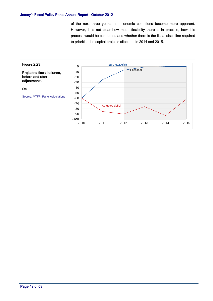of the next three years, as economic conditions become more apparent. However, it is not clear how much flexibility there is in practice, how this process would be conducted and whether there is the fiscal discipline required to prioritise the capital projects allocated in 2014 and 2015.

![](_page_49_Figure_2.jpeg)

Page 48 of 63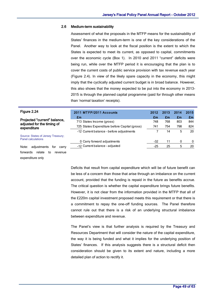#### 2.6 Medium-term sustainability

Assessment of what the proposals in the MTFP means for the sustainability of States' finances in the medium-term is one of the key considerations of the Panel. Another way to look at the fiscal position is the extent to which the States is expected to meet its current, as opposed to capital, commitments over the economic cycle (Box 1). In 2010 and 2011 "current" deficits were being run, while over the MTFP period it is encouraging that the plan is to cover the current costs of public service provision with tax revenue each year [\(Figure 2.4](#page-50-0)). In view of the likely spare capacity in the economy, this might imply that the cyclically adjusted current budget is in broad balance. However, this also shows that the money expected to be put into the economy in 2013- 2015 is through the planned capital programme (paid for through other means than 'normal taxation' receipts).

<span id="page-50-0"></span>

| than 'normal taxation' receipts).                                         |                                               |       |      |      |      |  |
|---------------------------------------------------------------------------|-----------------------------------------------|-------|------|------|------|--|
| Figure 2.24                                                               | 2011 MTFP/2011 Accounts                       | 2012  | 2013 | 2014 | 2015 |  |
| Projected "current" balance,<br>adjusted for the timing of<br>expenditure | £m                                            | £m    | £m   | £m   | £m   |  |
|                                                                           | 713 States Income (gross)                     | 748   | 768  | 803  | 844  |  |
|                                                                           | 725 States Expenditure before Capital (gross) | 741   | 754  | 798  | 824  |  |
|                                                                           | -12 Current balance - before adjustments      |       | 14   | 5    | 20   |  |
| Source: States of Jersey Treasury;                                        |                                               |       |      |      |      |  |
| <b>Panel calculations</b>                                                 | 0 Carry forward adjustments                   | $-32$ | 11   | 0    | 0    |  |
| adjustments<br>Note:<br>carry<br>tor                                      | -12 Current balance - adjusted                | -25   | 25   | 5    | 20   |  |
|                                                                           |                                               |       |      |      |      |  |

forwards relate to revenue

expenditure only

Deficits that result from capital expenditure which will be of future benefit can be less of a concern than those that arise through an imbalance on the current account, provided that the funding is repaid in the future as benefits accrue. The critical question is whether the capital expenditure brings future benefits. However, it is not clear from the information provided in the MTFP that all of the £220m capital investment proposed meets this requirement or that there is a commitment to repay the one-off funding sources. The Panel therefore cannot rule out that there is a risk of an underlying structural imbalance between expenditure and revenue.

The Panel's view is that further analysis is required by the Treasury and Resources Department that will consider the nature of the capital expenditure, the way it is being funded and what it implies for the underlying position of States' finances. If this analysis suggests there is a structural deficit then consideration should be given to its extent and nature, including a more detailed plan of action to rectify it.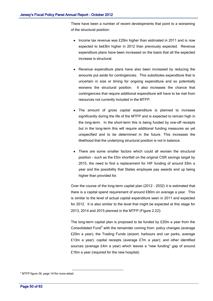There have been a number of recent developments that point to a worsening of the structural position:

- Income tax revenue was £29m higher than estimated in 2011 and is now expected to be£8m higher in 2012 than previously expected. Revenue expenditure plans have been increased on the basis that all the expected increase is structural.
- Revenue expenditure plans have also been increased by reducing the amounts put aside for contingencies. This substitutes expenditure that is uncertain in size or timing for ongoing expenditure and so potentially worsens the structural position. It also increases the chance that contingencies that require additional expenditure will have to be met from resources not currently included in the MTFP.
- The amount of gross capital expenditure is planned to increase significantly during the life of the MTFP and is expected to remain high in the long-term. In the short-term this is being funded by one-off receipts but in the long-term this will require additional funding measures as yet unspecified and to be determined in the future. This increases the likelihood that the underlying structural position is not in balance.
- There are some smaller factors which could all worsen the structural position - such as the £5m shortfall on the original CSR savings target by 2015, the need to find a replacement for HIF funding of around £6m a year and the possibility that States employee pay awards end up being higher than provided for.

Over the course of the long-term capital plan (2012 – 2032) it is estimated that there is a capital spend requirement of around £80m on average a year. This is similar to the level of actual capital expenditure seen in 2011 and expected for 2012. It is also similar to the level that might be expected at this stage for 2013, 2014 and 2015 planned in the MTFP [\(Figure 2.2](#page-47-0)2).

The long-term capital plan is proposed to be funded by £20m a year from the Consolidated Fund $4$  with the remainder coming from: policy changes (average £20m a year); the Trading Funds (airport, harbours and car parks, average £13m a year); capital receipts (average £7m a year); and other identified sources (average £4m a year) which leaves a "new funding" gap of around £16m a year (required for the new hospital).

<u>.</u>

<sup>4</sup> MTFP figure 36, page 141for more detail.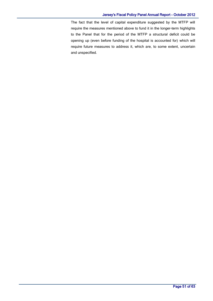#### Jersey's Fiscal Policy Panel Annual Report - October 2012

The fact that the level of capital expenditure suggested by the MTFP will require the measures mentioned above to fund it in the longer-term highlights to the Panel that for the period of the MTFP a structural deficit could be opening up (even before funding of the hospital is accounted for) which will require future measures to address it, which are, to some extent, uncertain and unspecified.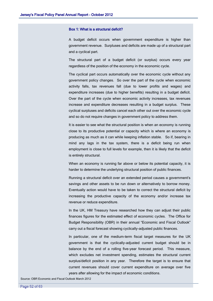#### Box 1: What is a structural deficit?

A budget deficit occurs when government expenditure is higher than government revenue. Surpluses and deficits are made up of a structural part and a cyclical part.

The structural part of a budget deficit (or surplus) occurs every year regardless of the position of the economy in the economic cycle.

The cyclical part occurs automatically over the economic cycle without any government policy changes. So over the part of the cycle when economic activity falls, tax revenues fall (due to lower profits and wages) and expenditure increases (due to higher benefits) resulting in a budget deficit. Over the part of the cycle when economic activity increases, tax revenues increase and expenditure decreases resulting in a budget surplus. These cyclical surpluses and deficits cancel each other out over the economic cycle and so do not require changes in government policy to address them.

It is easier to see what the structural position is when an economy is running close to its productive potential or capacity which is where an economy is producing as much as it can while keeping inflation stable. So if, bearing in mind any lags in the tax system, there is a deficit being run when employment is close to full levels for example, then it is likely that the deficit is entirely structural.

When an economy is running far above or below its potential capacity, it is harder to determine the underlying structural position of public finances.

Running a structural deficit over an extended period causes a government's savings and other assets to be run down or alternatively to borrow money. Eventually action would have to be taken to correct the structural deficit by increasing the productive capacity of the economy and/or increase tax revenue or reduce expenditure.

In the UK, HM Treasury have researched how they can adjust their public finances figures for the estimated effect of economic cycles. The Office for Budget Responsibility (OBR) in their annual "Economic and Fiscal Outlook" carry out a fiscal forecast showing cyclically-adjusted public finances.

In particular, one of the medium-term fiscal target measures for the UK government is that the cyclically-adjusted current budget should be in balance by the end of a rolling five-year forecast period. This measure, which excludes net investment spending, estimates the structural current surplus/deficit position in any year. Therefore the target is to ensure that current revenues should cover current expenditure on average over five years after allowing for the impact of economic conditions.

Source: OBR Economic and Fiscal Outlook March 2012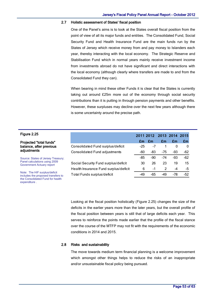#### 2.7 Holistic assessment of States' fiscal position

One of the Panel's aims is to look at the States overall fiscal position from the point of view of all its major funds and entities. The Consolidated Fund, Social Security Fund and Health Insurance Fund are the main funds run by the States of Jersey which receive money from and pay money to Islanders each year, thereby interacting with the local economy. The Strategic Reserve and Stabilisation Fund which in normal years mainly receive investment income from investments abroad do not have significant and direct interactions with the local economy (although clearly where transfers are made to and from the Consolidated Fund they can).

When bearing in mind these other Funds it is clear that the States is currently taking out around £25m more out of the economy through social security contributions than it is putting in through pension payments and other benefits. However, these surpluses may decline over the next few years although there is some uncertainty around the precise path.

<span id="page-54-0"></span>

| Figure 2.25                                                                                             |                                       | 2011 2012 |     |     | 2013 2014 | 2015  |
|---------------------------------------------------------------------------------------------------------|---------------------------------------|-----------|-----|-----|-----------|-------|
| <b>Projected "total funds"</b>                                                                          |                                       | £m        | £m  | £m  | £m        | £m    |
| balance, after previous<br>adjustments                                                                  | Consolidated Fund surplus/deficit     | -25       | -7  |     | 0         | 0     |
|                                                                                                         | Consolidated Fund adjustments         | -60       | -83 | -75 | -93       | -62   |
| Source: States of Jersey Treasury;<br>Panel calculations using 2009<br><b>Government Actuary report</b> |                                       | -85       | -90 | -74 | -93       | $-62$ |
|                                                                                                         | Social Security Fund surplus/deficit  | 30        | 26  | 23  | 19        | 15    |
|                                                                                                         | Health Insurance Fund surplus/deficit | 6         | -1  | 2   | $-4$      | -5    |
| Note: The HIF surplus/deficit<br>includes the proposed transfers to                                     | Total Funds surplus/deficit           | -49       | -65 | -49 | -78       | -52   |

Looking at the fiscal position holistically [\(Figure 2.2](#page-54-0)5) changes the size of the deficits in the earlier years more than the later years, but the overall profile of the fiscal position between years is still that of large deficits each year. This serves to reinforce the points made earlier that the profile of the fiscal stance over the course of the MTFP may not fit with the requirements of the economic conditions in 2014 and 2015.

#### 2.8 Risks and sustainability

the Consolidated Fund for health

expenditure .

The move towards medium term financial planning is a welcome improvement which amongst other things helps to reduce the risks of an inappropriate and/or unsustainable fiscal policy being pursued.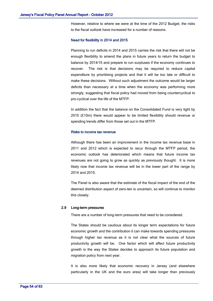However, relative to where we were at the time of the 2012 Budget, the risks to the fiscal outlook have increased for a number of reasons.

#### Need for flexibility in 2014 and 2015

Planning to run deficits in 2014 and 2015 carries the risk that there will not be enough flexibility to amend the plans in future years to return the budget to balance by 2014/15 and prepare to run surpluses if the economy continues to recover. The risk is that decisions may be required to reduce capital expenditure by prioritising projects and that it will be too late or difficult to make these decisions. Without such adjustment the outcome would be larger deficits than necessary at a time when the economy was performing more strongly, suggesting that fiscal policy had moved from being countercyclical to pro-cyclical over the life of the MTFP.

In addition the fact that the balance on the Consolidated Fund is very tight by 2015 (£10m) there would appear to be limited flexibility should revenue or spending trends differ from those set out in the MTFP.

#### Risks to income tax revenue

Although there has been an improvement in the income tax revenue base in 2011 and 2012 which is expected to recur through the MTFP period, the economic outlook has deteriorated which means that future income tax revenues are not going to grow as quickly as previously thought. It is more likely now that income tax revenue will be in the lower part of the range by 2014 and 2015.

The Panel is also aware that the estimate of the fiscal impact of the end of the deemed distribution aspect of zero-ten is uncertain, so will continue to monitor this closely.

#### 2.9 Long-term pressures

There are a number of long-term pressures that need to be considered.

The States should be cautious about its longer term expectations for future economic growth and the contribution it can make towards spending pressures through higher tax revenue as it is not clear what the sources of future productivity growth will be. One factor which will affect future productivity growth is the way the States decides to approach its future population and migration policy from next year.

It is also more likely that economic recovery in Jersey (and elsewhere particularly in the UK and the euro area) will take longer than previously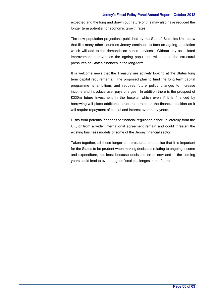expected and the long and drawn out nature of this may also have reduced the longer term potential for economic growth rates.

The new population projections published by the States' Statistics Unit show that like many other countries Jersey continues to face an ageing population which will add to the demands on public services. Without any associated improvement in revenues the ageing population will add to the structural pressures on States' finances in the long-term.

It is welcome news that the Treasury are actively looking at the States long term capital requirements. The proposed plan to fund the long term capital programme is ambitious and requires future policy changes to increase income and introduce user pays charges. In addition there is the prospect of £330m future investment in the hospital which even if it is financed by borrowing will place additional structural strains on the financial position as it will require repayment of capital and interest over many years.

Risks from potential changes to financial regulation either unilaterally from the UK, or from a wider international agreement remain and could threaten the existing business models of some of the Jersey financial sector.

Taken together, all these longer-tem pressures emphasise that it is important for the States to be prudent when making decisions relating to ongoing income and expenditure, not least because decisions taken now and in the coming years could lead to even tougher fiscal challenges in the future.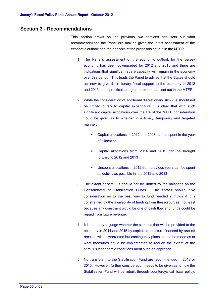# **Section 3 - Recommendations**

This section draws on the previous two sections and sets out what recommendations the Panel are making given the latest assessment of the economic outlook and the analysis of the proposals set out in the MTFP.

- 1. The Panel's assessment of the economic outlook for the Jersey economy has been downgraded for 2012 and 2013 and there are indications that significant spare capacity will remain in the economy over this period. This leads the Panel to advise that the States should act now to give discretionary fiscal support to the economy in 2012 and 2013 and if practical to a greater extent than set out in the MTFP.
- 2. While the consideration of additional discretionary stimulus should not be limited purely to capital expenditure it is clear that with such significant capital allocations over the life of the MTFP consideration could be given as to whether in a timely, temporary and targeted manner:
	- Capital allocations in 2012 and 2013 can be spent in the year of allocation
	- Capital allocations from 2014 and 2015 can be brought forward to 2012 and 2013
	- Unspent allocations in 2012 from previous years can be spent as quickly as possible in late 2012 and 2013
- 3. The extent of stimulus should not be limited by the balances on the Consolidated or Stabilisation Funds. The States should give consideration as to the best way to fund needed stimulus if it is constrained by the availability of funding from these sources, not least because any constraint would be one of cash flow and funds could be repaid from future revenue.
- 4. It is too early to judge whether the stimulus that will be provided to the economy in 2014 and 2015 by capital expenditure financed by one-off receipts will be warranted but contingency plans should be made as to what measures could be implemented to reduce the extent of the stimulus if economic conditions merit such an approach.
- 5. No transfers into the Stabilisation Fund are recommended in 2012 or 2013. However, further consideration needs to be given as to how the Stabilisation Fund will be rebuilt through countercyclical fiscal policy,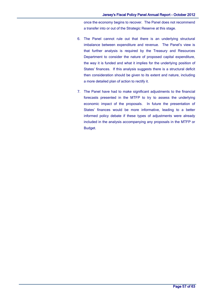once the economy begins to recover. The Panel does not recommend a transfer into or out of the Strategic Reserve at this stage.

- 6. The Panel cannot rule out that there is an underlying structural imbalance between expenditure and revenue. The Panel's view is that further analysis is required by the Treasury and Resources Department to consider the nature of proposed capital expenditure, the way it is funded and what it implies for the underlying position of States' finances. If this analysis suggests there is a structural deficit then consideration should be given to its extent and nature, including a more detailed plan of action to rectify it.
- 7. The Panel have had to make significant adjustments to the financial forecasts presented in the MTFP to try to assess the underlying economic impact of the proposals. In future the presentation of States' finances would be more informative, leading to a better informed policy debate if these types of adjustments were already included in the analysis accompanying any proposals in the MTFP or Budget.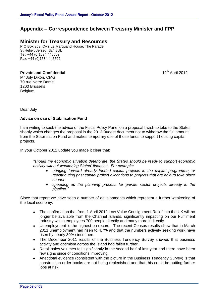# **Appendix – Correspondence between Treasury Minister and FPP**

# **Minister for Treasury and Resources**

P O Box 353, Cyril Le Marquand House, The Parade St Helier, Jersey, JE4 8UL Tel: +44 (0)1534 445502 Fax: +44 (0)1534 445522

### **Private and Confidential**

12<sup>th</sup> April 2012

Mr Joly Dixon, CMG 70 rue Notre Dame 1200 Brussels Belgium

Dear Joly

### **Advice on use of Stabilisation Fund**

I am writing to seek the advice of the Fiscal Policy Panel on a proposal I wish to take to the States shortly which changes the proposal in the 2012 Budget document not to withdraw the full amount from the Stabilisation Fund and makes temporary use of those funds to support housing capital projects.

In your October 2011 update you made it clear that:

*"should the economic situation deteriorate, the States should be ready to support economic activity without weakening States' finances. For example:*

- *bringing forward already funded capital projects in the capital programme, or redistributing past capital project allocations to projects that are able to take place sooner.*
- *speeding up the planning process for private sector projects already in the pipeline."*

Since that report we have seen a number of developments which represent a further weakening of the local economy:

- The confirmation that from 1 April 2012 Low Value Consignment Relief into the UK will no  $\bullet$ longer be available from the Channel Islands, significantly impacting on our Fulfilment Industry which employees 700 people directly and many more indirectly.
- Unemployment is the highest on record. The recent Census results show that in March  $\bullet$ 2011 unemployment had risen to 4.7% and that the numbers actively seeking work have risen by nearly 30% since then.
- The December 2011 results of the Business Tendency Survey showed that business activity and optimism across the Island had fallen further.
- Retail sales volumes fell significantly in the second half of last year and there have been few signs since of conditions improving.
- Anecdotal evidence (consistent with the picture in the Business Tendency Survey) is that construction order books are not being replenished and that this could be putting further jobs at risk.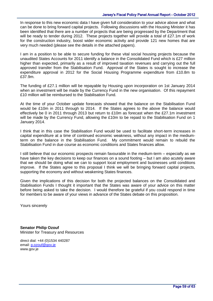In response to this new economic data I have given full consideration to your advice above and what can be done to bring forward capital projects. Following discussions with the Housing Minister it has been identified that there are a number of projects that are being progressed by the Department that will be ready to tender during 2012. These projects together will provide a total of £27.1m of work for the construction industry, boost wider economic activity and provide 121 new homes that are very much needed (please see the details in the attached papers).

I am in a position to be able to secure funding for these vital social housing projects because the unaudited States Accounts for 2011 identify a balance in the Consolidated Fund which is £27 million higher than expected, primarily as a result of improved taxation revenues and carrying out the full approved transfer from the Stabilisation Fund. Approval of the States is sought to increase the expenditure approval in 2012 for the Social Housing Programme expenditure from £10.8m to £37.9m.

The funding of £27.1 million will be repayable by Housing upon incorporation on 1st January 2014 when an investment will be made by the Currency Fund in the new organisation. Of this repayment £10 million will be reimbursed to the Stabilisation Fund.

At the time of your October update forecasts showed that the balance on the Stabilisation Fund would be £10m in 2011 through to 2014. If the States agrees to the above the balance would effectively be 0 in 2011 through 2013 but return to £10m as forecast when the £27.1m investment will be made by the Currency Fund, allowing the £10m to be repaid to the Stabilisation Fund on 1 January 2014.

I think that in this case the Stabilisation Fund would be used to facilitate short-term increases in capital expenditure at a time of continued economic weakness, without any impact in the mediumterm on the balance in the Stabilisation Fund. My commitment would remain to rebuild the Stabilisation Fund in due course as economic conditions and States finances allow.

I still believe that our economic prospects remain favourable in the medium-term – especially as we have taken the key decisions to keep our finances on a sound footing – but I am also acutely aware that we should be doing what we can to support local employment and businesses until conditions improve. If the States agree to this proposal I think we will be bringing forward capital projects, supporting the economy and without weakening States finances.

Given the implications of this decision for both the projected balances on the Consolidated and Stabilisation Funds I thought it important that the States was aware of your advice on this matter before being asked to take the decision. I would therefore be grateful if you could respond in time for members to be aware of your views in advance of the States debate on this proposition.

Yours sincerely

**Senator Philip Ozouf** Minister for Treasury and Resources

direct dial: +44 (0)1534 440287 email: [p.ozouf@gov.je](mailto:pfc.ozouf@gov.je) www.gov.je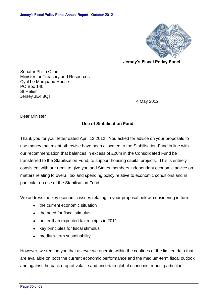![](_page_61_Picture_1.jpeg)

**Jersey's Fiscal Policy Panel**

Senator Philip Ozouf Minister for Treasury and Resources Cyril Le Marquand House PO Box 140 St Helier Jersey JE4 8QT

4 May 2012

Dear Minister

# **Use of Stabilisation Fund**

Thank you for your letter dated April 12 2012. You asked for advice on your proposals to use money that might otherwise have been allocated to the Stabilisation Fund in line with our recommendation that balances in excess of £20m in the Consolidated Fund be transferred to the Stabilisation Fund, to support housing capital projects. This is entirely consistent with our remit to give you and States members independent economic advice on matters relating to overall tax and spending policy relative to economic conditions and in particular on use of the Stabilisation Fund.

We address the key economic issues relating to your proposal below, considering in turn:

- the current economic situation
- the need for fiscal stimulus
- better than expected tax receipts in 2011
- key principles for fiscal stimulus
- medium-term sustainability.

However, we remind you that as ever we operate within the confines of the limited data that are available on both the current economic performance and the medium-term fiscal outlook and against the back drop of volatile and uncertain global economic trends, particular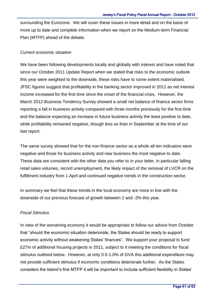surrounding the Eurozone. We will cover these issues in more detail and on the basis of more up to date and complete information when we report on the Medium-term Financial Plan (MTFP) ahead of the debate.

# *Current economic situation*

We have been following developments locally and globally with interest and have noted that since our October 2011 Update Report when we stated that risks to the economic outlook this year were weighted to the downside, these risks have to some extent materialised. JFSC figures suggest that profitability in the banking sector improved in 2011 as net interest income increased for the first time since the onset of the financial crisis. However, the March 2012 Business Tendency Survey showed a small net balance of finance sector firms reporting a fall in business activity compared with three months previously for the first time and the balance expecting an increase in future business activity the least positive to date, while profitability remained negative, though less so than in September at the time of our last report.

The same survey showed that for the non-finance sector as a whole all ten indicators were negative and those for business activity and new business the most negative to date. These data are consistent with the other data you refer to in your letter, in particular falling retail sales volumes, record unemployment, the likely impact of the removal of LVCR on the fulfillment industry from 1 April and continued negative trends in the construction sector.

In summary we feel that these trends in the local economy are more in line with the downside of our previous forecast of growth between 2 and -2% this year.

# *Fiscal Stimulus*

In view of the worsening economy it would be appropriate to follow our advice from October that "should the economic situation deteriorate, the States should be ready to support economic activity without weakening States' finances". We support your proposal to fund £27m of additional housing projects in 2011, subject to it meeting the conditions for fiscal stimulus outlined below. However, at only 0.5-1.0% of GVA this additional expenditure may not provide sufficient stimulus if economic conditions deteriorate further. As the States considers the Island's first MTFP it will be important to include sufficient flexibility in States'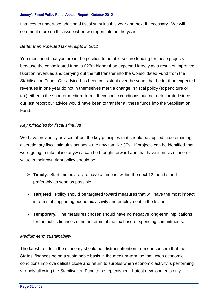finances to undertake additional fiscal stimulus this year and next if necessary. We will comment more on this issue when we report later in the year.

## *Better than expected tax receipts in 2011*

You mentioned that you are in the position to be able secure funding for these projects because the consolidated fund is £27m higher than expected largely as a result of improved taxation revenues and carrying out the full transfer into the Consolidated Fund from the Stabilisation Fund. Our advice has been consistent over the years that better than expected revenues in one year do not in themselves merit a change in fiscal policy (expenditure or tax) either in the short or medium-term. If economic conditions had not deteriorated since our last report our advice would have been to transfer all these funds into the Stabilisation Fund.

# *Key principles for fiscal stimulus*

We have previously advised about the key principles that should be applied in determining discretionary fiscal stimulus actions – the now familiar 3Ts. If projects can be identified that were going to take place anyway, can be brought forward and that have intrinsic economic value in their own right policy should be:

- **Timely**. Start immediately to have an impact within the next 12 months and preferably as soon as possible.
- **Targeted**. Policy should be targeted toward measures that will have the most impact in terms of supporting economic activity and employment in the Island.
- **Temporary.** The measures chosen should have no negative long-term implications for the public finances either in terms of the tax base or spending commitments.

### *Medium-term sustainability*

The latest trends in the economy should not distract attention from our concern that the States' finances be on a sustainable basis in the medium-term so that when economic conditions improve deficits close and return to surplus when economic activity is performing strongly allowing the Stabilisation Fund to be replenished. Latest developments only